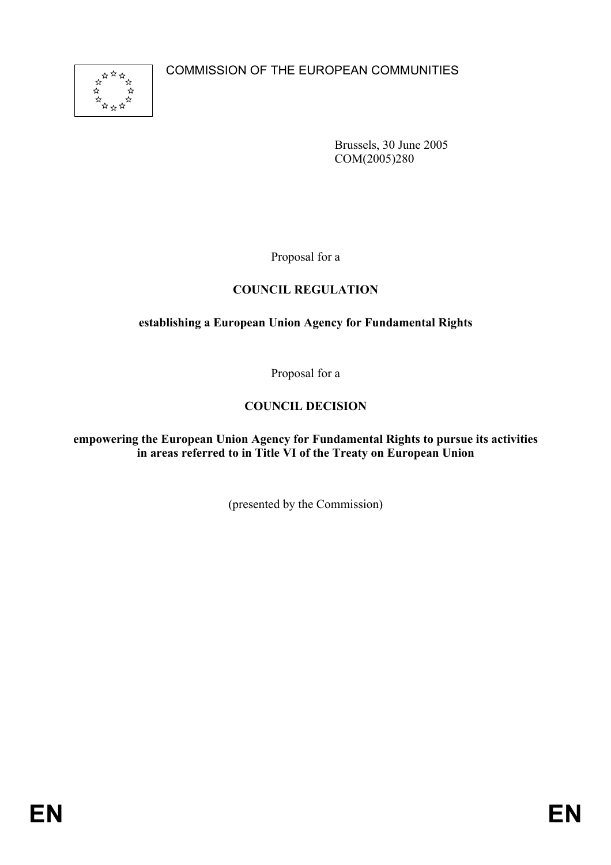COMMISSION OF THE EUROPEAN COMMUNITIES



Brussels, 30 June 2005 COM(2005)280

Proposal for a

# **COUNCIL REGULATION**

# **establishing a European Union Agency for Fundamental Rights**

Proposal for a

# **COUNCIL DECISION**

**empowering the European Union Agency for Fundamental Rights to pursue its activities in areas referred to in Title VI of the Treaty on European Union** 

(presented by the Commission)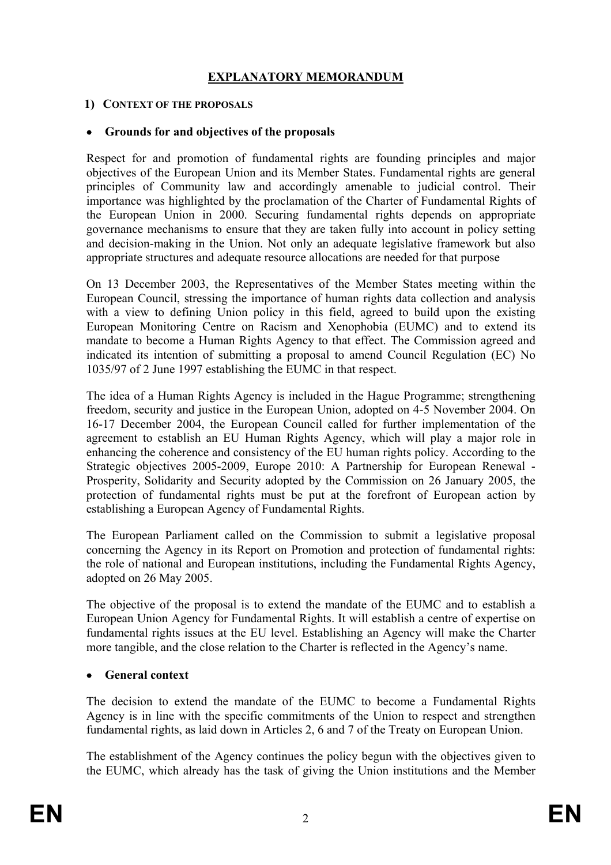# **EXPLANATORY MEMORANDUM**

#### **1) CONTEXT OF THE PROPOSALS**

#### • **Grounds for and objectives of the proposals**

Respect for and promotion of fundamental rights are founding principles and major objectives of the European Union and its Member States. Fundamental rights are general principles of Community law and accordingly amenable to judicial control. Their importance was highlighted by the proclamation of the Charter of Fundamental Rights of the European Union in 2000. Securing fundamental rights depends on appropriate governance mechanisms to ensure that they are taken fully into account in policy setting and decision-making in the Union. Not only an adequate legislative framework but also appropriate structures and adequate resource allocations are needed for that purpose

On 13 December 2003, the Representatives of the Member States meeting within the European Council, stressing the importance of human rights data collection and analysis with a view to defining Union policy in this field, agreed to build upon the existing European Monitoring Centre on Racism and Xenophobia (EUMC) and to extend its mandate to become a Human Rights Agency to that effect. The Commission agreed and indicated its intention of submitting a proposal to amend Council Regulation (EC) No 1035/97 of 2 June 1997 establishing the EUMC in that respect.

The idea of a Human Rights Agency is included in the Hague Programme; strengthening freedom, security and justice in the European Union, adopted on 4-5 November 2004. On 16-17 December 2004, the European Council called for further implementation of the agreement to establish an EU Human Rights Agency, which will play a major role in enhancing the coherence and consistency of the EU human rights policy. According to the Strategic objectives 2005-2009, Europe 2010: A Partnership for European Renewal - Prosperity, Solidarity and Security adopted by the Commission on 26 January 2005, the protection of fundamental rights must be put at the forefront of European action by establishing a European Agency of Fundamental Rights.

The European Parliament called on the Commission to submit a legislative proposal concerning the Agency in its Report on Promotion and protection of fundamental rights: the role of national and European institutions, including the Fundamental Rights Agency, adopted on 26 May 2005.

The objective of the proposal is to extend the mandate of the EUMC and to establish a European Union Agency for Fundamental Rights. It will establish a centre of expertise on fundamental rights issues at the EU level. Establishing an Agency will make the Charter more tangible, and the close relation to the Charter is reflected in the Agency's name.

## • **General context**

The decision to extend the mandate of the EUMC to become a Fundamental Rights Agency is in line with the specific commitments of the Union to respect and strengthen fundamental rights, as laid down in Articles 2, 6 and 7 of the Treaty on European Union.

The establishment of the Agency continues the policy begun with the objectives given to the EUMC, which already has the task of giving the Union institutions and the Member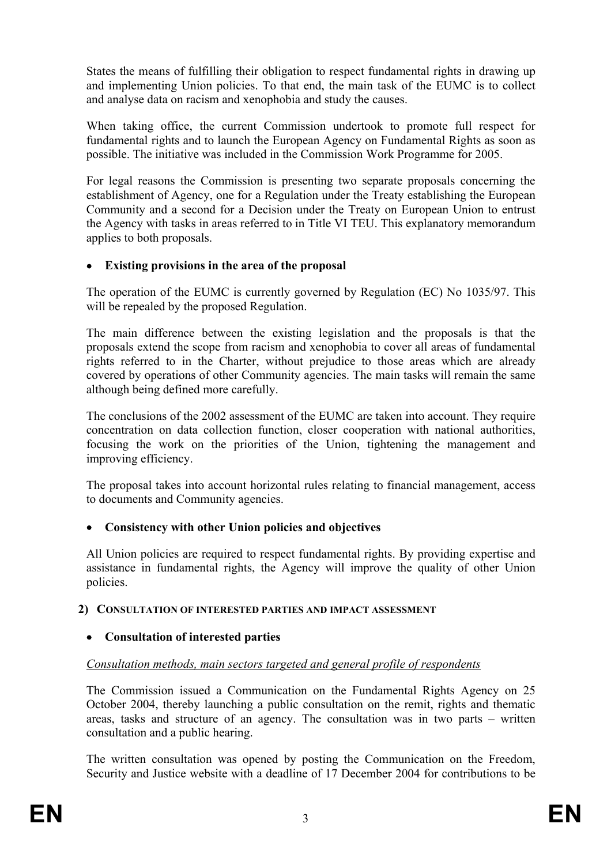States the means of fulfilling their obligation to respect fundamental rights in drawing up and implementing Union policies. To that end, the main task of the EUMC is to collect and analyse data on racism and xenophobia and study the causes.

When taking office, the current Commission undertook to promote full respect for fundamental rights and to launch the European Agency on Fundamental Rights as soon as possible. The initiative was included in the Commission Work Programme for 2005.

For legal reasons the Commission is presenting two separate proposals concerning the establishment of Agency, one for a Regulation under the Treaty establishing the European Community and a second for a Decision under the Treaty on European Union to entrust the Agency with tasks in areas referred to in Title VI TEU. This explanatory memorandum applies to both proposals.

## • **Existing provisions in the area of the proposal**

The operation of the EUMC is currently governed by Regulation (EC) No 1035/97. This will be repealed by the proposed Regulation.

The main difference between the existing legislation and the proposals is that the proposals extend the scope from racism and xenophobia to cover all areas of fundamental rights referred to in the Charter, without prejudice to those areas which are already covered by operations of other Community agencies. The main tasks will remain the same although being defined more carefully.

The conclusions of the 2002 assessment of the EUMC are taken into account. They require concentration on data collection function, closer cooperation with national authorities, focusing the work on the priorities of the Union, tightening the management and improving efficiency.

The proposal takes into account horizontal rules relating to financial management, access to documents and Community agencies.

# • **Consistency with other Union policies and objectives**

All Union policies are required to respect fundamental rights. By providing expertise and assistance in fundamental rights, the Agency will improve the quality of other Union policies.

## **2) CONSULTATION OF INTERESTED PARTIES AND IMPACT ASSESSMENT**

# • **Consultation of interested parties**

# <sup>211</sup>*Consultation methods, main sectors targeted and general profile of respondents*

The Commission issued a Communication on the Fundamental Rights Agency on 25 October 2004, thereby launching a public consultation on the remit, rights and thematic areas, tasks and structure of an agency. The consultation was in two parts – written consultation and a public hearing.

The written consultation was opened by posting the Communication on the Freedom, Security and Justice website with a deadline of 17 December 2004 for contributions to be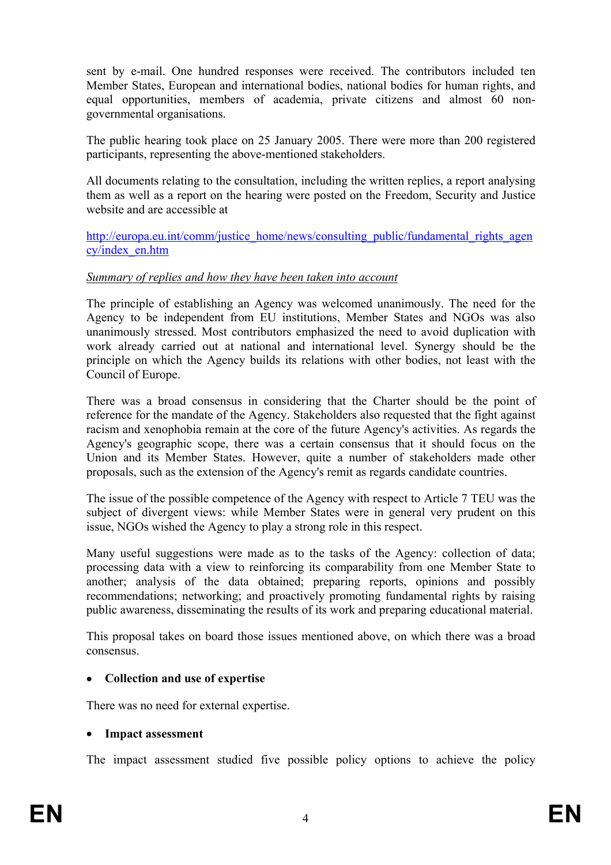sent by e-mail. One hundred responses were received. The contributors included ten Member States, European and international bodies, national bodies for human rights, and equal opportunities, members of academia, private citizens and almost 60 nongovernmental organisations.

The public hearing took place on 25 January 2005. There were more than 200 registered participants, representing the above-mentioned stakeholders.

All documents relating to the consultation, including the written replies, a report analysing them as well as a report on the hearing were posted on the Freedom, Security and Justice website and are accessible at

http://europa.eu.int/comm/justice\_home/news/consulting\_public/fundamental\_rights\_agen cy/index\_en.htm

#### <sup>212</sup>*Summary of replies and how they have been taken into account*

The principle of establishing an Agency was welcomed unanimously. The need for the Agency to be independent from EU institutions, Member States and NGOs was also unanimously stressed. Most contributors emphasized the need to avoid duplication with work already carried out at national and international level. Synergy should be the principle on which the Agency builds its relations with other bodies, not least with the Council of Europe.

There was a broad consensus in considering that the Charter should be the point of reference for the mandate of the Agency. Stakeholders also requested that the fight against racism and xenophobia remain at the core of the future Agency's activities. As regards the Agency's geographic scope, there was a certain consensus that it should focus on the Union and its Member States. However, quite a number of stakeholders made other proposals, such as the extension of the Agency's remit as regards candidate countries.

The issue of the possible competence of the Agency with respect to Article 7 TEU was the subject of divergent views: while Member States were in general very prudent on this issue, NGOs wished the Agency to play a strong role in this respect.

Many useful suggestions were made as to the tasks of the Agency: collection of data; processing data with a view to reinforcing its comparability from one Member State to another; analysis of the data obtained; preparing reports, opinions and possibly recommendations; networking; and proactively promoting fundamental rights by raising public awareness, disseminating the results of its work and preparing educational material.

This proposal takes on board those issues mentioned above, on which there was a broad consensus.

#### • **Collection and use of expertise**

There was no need for external expertise.

#### • **Impact assessment**

The impact assessment studied five possible policy options to achieve the policy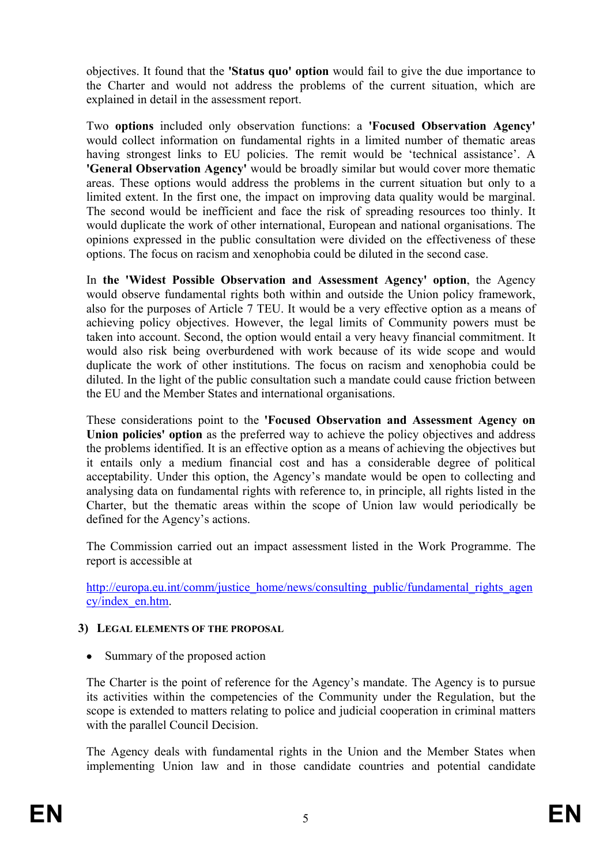objectives. It found that the **'Status quo' option** would fail to give the due importance to the Charter and would not address the problems of the current situation, which are explained in detail in the assessment report.

Two **options** included only observation functions: a **'Focused Observation Agency'** would collect information on fundamental rights in a limited number of thematic areas having strongest links to EU policies. The remit would be 'technical assistance'. A **'General Observation Agency'** would be broadly similar but would cover more thematic areas. These options would address the problems in the current situation but only to a limited extent. In the first one, the impact on improving data quality would be marginal. The second would be inefficient and face the risk of spreading resources too thinly. It would duplicate the work of other international, European and national organisations. The opinions expressed in the public consultation were divided on the effectiveness of these options. The focus on racism and xenophobia could be diluted in the second case.

In **the 'Widest Possible Observation and Assessment Agency' option**, the Agency would observe fundamental rights both within and outside the Union policy framework, also for the purposes of Article 7 TEU. It would be a very effective option as a means of achieving policy objectives. However, the legal limits of Community powers must be taken into account. Second, the option would entail a very heavy financial commitment. It would also risk being overburdened with work because of its wide scope and would duplicate the work of other institutions. The focus on racism and xenophobia could be diluted. In the light of the public consultation such a mandate could cause friction between the EU and the Member States and international organisations.

These considerations point to the **'Focused Observation and Assessment Agency on Union policies' option** as the preferred way to achieve the policy objectives and address the problems identified. It is an effective option as a means of achieving the objectives but it entails only a medium financial cost and has a considerable degree of political acceptability. Under this option, the Agency's mandate would be open to collecting and analysing data on fundamental rights with reference to, in principle, all rights listed in the Charter, but the thematic areas within the scope of Union law would periodically be defined for the Agency's actions.

The Commission carried out an impact assessment listed in the Work Programme. The report is accessible at

http://europa.eu.int/comm/justice\_home/news/consulting\_public/fundamental\_rights\_agen cy/index\_en.htm.

#### **3) LEGAL ELEMENTS OF THE PROPOSAL**

Summary of the proposed action

The Charter is the point of reference for the Agency's mandate. The Agency is to pursue its activities within the competencies of the Community under the Regulation, but the scope is extended to matters relating to police and judicial cooperation in criminal matters with the parallel Council Decision.

The Agency deals with fundamental rights in the Union and the Member States when implementing Union law and in those candidate countries and potential candidate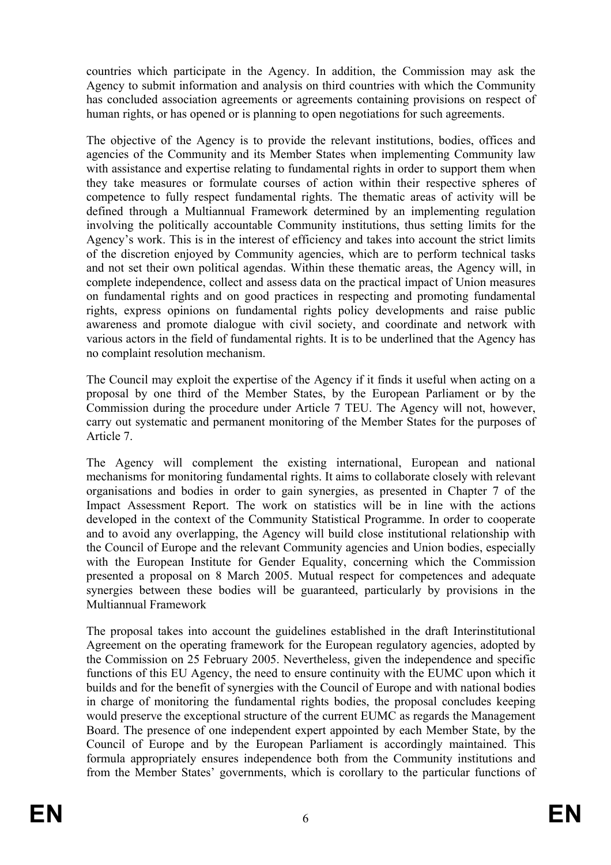countries which participate in the Agency. In addition, the Commission may ask the Agency to submit information and analysis on third countries with which the Community has concluded association agreements or agreements containing provisions on respect of human rights, or has opened or is planning to open negotiations for such agreements.

The objective of the Agency is to provide the relevant institutions, bodies, offices and agencies of the Community and its Member States when implementing Community law with assistance and expertise relating to fundamental rights in order to support them when they take measures or formulate courses of action within their respective spheres of competence to fully respect fundamental rights. The thematic areas of activity will be defined through a Multiannual Framework determined by an implementing regulation involving the politically accountable Community institutions, thus setting limits for the Agency's work. This is in the interest of efficiency and takes into account the strict limits of the discretion enjoyed by Community agencies, which are to perform technical tasks and not set their own political agendas. Within these thematic areas, the Agency will, in complete independence, collect and assess data on the practical impact of Union measures on fundamental rights and on good practices in respecting and promoting fundamental rights, express opinions on fundamental rights policy developments and raise public awareness and promote dialogue with civil society, and coordinate and network with various actors in the field of fundamental rights. It is to be underlined that the Agency has no complaint resolution mechanism.

The Council may exploit the expertise of the Agency if it finds it useful when acting on a proposal by one third of the Member States, by the European Parliament or by the Commission during the procedure under Article 7 TEU. The Agency will not, however, carry out systematic and permanent monitoring of the Member States for the purposes of Article 7.

The Agency will complement the existing international, European and national mechanisms for monitoring fundamental rights. It aims to collaborate closely with relevant organisations and bodies in order to gain synergies, as presented in Chapter 7 of the Impact Assessment Report. The work on statistics will be in line with the actions developed in the context of the Community Statistical Programme. In order to cooperate and to avoid any overlapping, the Agency will build close institutional relationship with the Council of Europe and the relevant Community agencies and Union bodies, especially with the European Institute for Gender Equality, concerning which the Commission presented a proposal on 8 March 2005. Mutual respect for competences and adequate synergies between these bodies will be guaranteed, particularly by provisions in the Multiannual Framework

The proposal takes into account the guidelines established in the draft Interinstitutional Agreement on the operating framework for the European regulatory agencies, adopted by the Commission on 25 February 2005. Nevertheless, given the independence and specific functions of this EU Agency, the need to ensure continuity with the EUMC upon which it builds and for the benefit of synergies with the Council of Europe and with national bodies in charge of monitoring the fundamental rights bodies, the proposal concludes keeping would preserve the exceptional structure of the current EUMC as regards the Management Board. The presence of one independent expert appointed by each Member State, by the Council of Europe and by the European Parliament is accordingly maintained. This formula appropriately ensures independence both from the Community institutions and from the Member States' governments, which is corollary to the particular functions of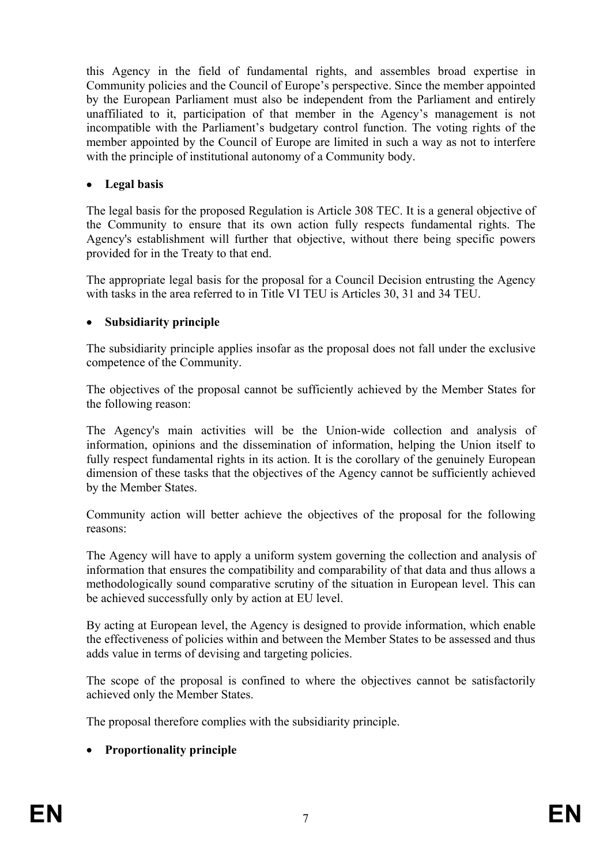this Agency in the field of fundamental rights, and assembles broad expertise in Community policies and the Council of Europe's perspective. Since the member appointed by the European Parliament must also be independent from the Parliament and entirely unaffiliated to it, participation of that member in the Agency's management is not incompatible with the Parliament's budgetary control function. The voting rights of the member appointed by the Council of Europe are limited in such a way as not to interfere with the principle of institutional autonomy of a Community body.

## • **Legal basis**

The legal basis for the proposed Regulation is Article 308 TEC. It is a general objective of the Community to ensure that its own action fully respects fundamental rights. The Agency's establishment will further that objective, without there being specific powers provided for in the Treaty to that end.

The appropriate legal basis for the proposal for a Council Decision entrusting the Agency with tasks in the area referred to in Title VI TEU is Articles 30, 31 and 34 TEU.

#### • **Subsidiarity principle**

The subsidiarity principle applies insofar as the proposal does not fall under the exclusive competence of the Community.

 The objectives of the proposal cannot be sufficiently achieved by the Member States for the following reason:

The Agency's main activities will be the Union-wide collection and analysis of information, opinions and the dissemination of information, helping the Union itself to fully respect fundamental rights in its action. It is the corollary of the genuinely European dimension of these tasks that the objectives of the Agency cannot be sufficiently achieved by the Member States.

 Community action will better achieve the objectives of the proposal for the following reasons:

The Agency will have to apply a uniform system governing the collection and analysis of information that ensures the compatibility and comparability of that data and thus allows a methodologically sound comparative scrutiny of the situation in European level. This can be achieved successfully only by action at EU level.

By acting at European level, the Agency is designed to provide information, which enable the effectiveness of policies within and between the Member States to be assessed and thus adds value in terms of devising and targeting policies.

The scope of the proposal is confined to where the objectives cannot be satisfactorily achieved only the Member States.

The proposal therefore complies with the subsidiarity principle.

## • **Proportionality principle**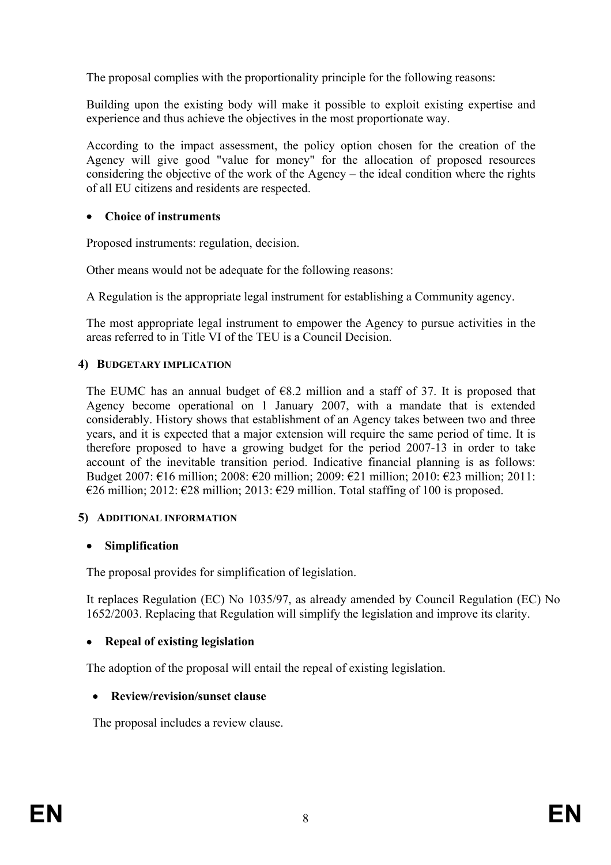The proposal complies with the proportionality principle for the following reasons:

Building upon the existing body will make it possible to exploit existing expertise and experience and thus achieve the objectives in the most proportionate way.

According to the impact assessment, the policy option chosen for the creation of the Agency will give good "value for money" for the allocation of proposed resources considering the objective of the work of the Agency – the ideal condition where the rights of all EU citizens and residents are respected.

## • **Choice of instruments**

Proposed instruments: regulation, decision.

Other means would not be adequate for the following reasons:

A Regulation is the appropriate legal instrument for establishing a Community agency.

The most appropriate legal instrument to empower the Agency to pursue activities in the areas referred to in Title VI of the TEU is a Council Decision.

#### **4) BUDGETARY IMPLICATION**

The EUMC has an annual budget of  $68.2$  million and a staff of 37. It is proposed that Agency become operational on 1 January 2007, with a mandate that is extended considerably. History shows that establishment of an Agency takes between two and three years, and it is expected that a major extension will require the same period of time. It is therefore proposed to have a growing budget for the period 2007-13 in order to take account of the inevitable transition period. Indicative financial planning is as follows: Budget 2007: €16 million; 2008: €20 million; 2009: €21 million; 2010: €23 million; 2011: €26 million; 2012: €28 million; 2013: €29 million. Total staffing of 100 is proposed.

## **5) ADDITIONAL INFORMATION**

## • **Simplification**

The proposal provides for simplification of legislation.

It replaces Regulation (EC) No 1035/97, as already amended by Council Regulation (EC) No 1652/2003. Replacing that Regulation will simplify the legislation and improve its clarity.

## • **Repeal of existing legislation**

The adoption of the proposal will entail the repeal of existing legislation.

## • **Review/revision/sunset clause**

The proposal includes a review clause.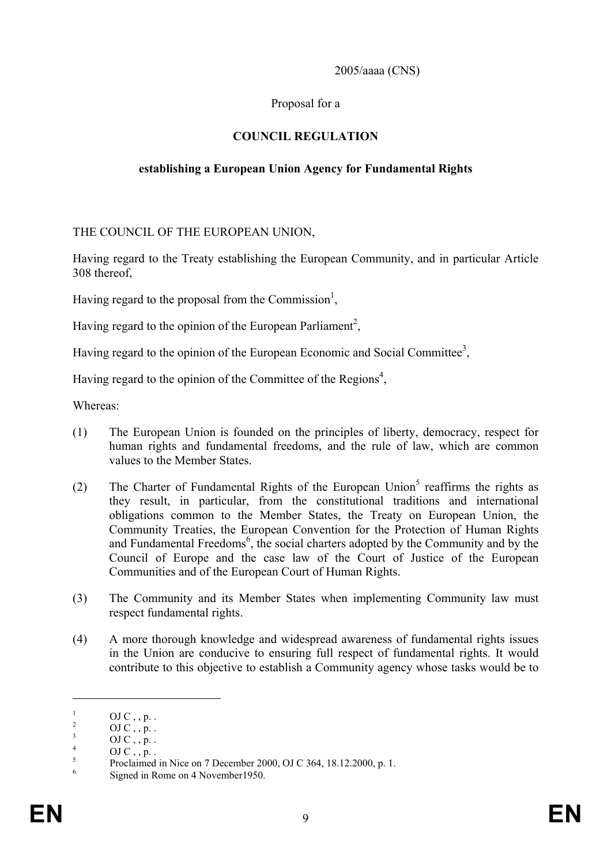2005/aaaa (CNS)

# Proposal for a

# **COUNCIL REGULATION**

# **establishing a European Union Agency for Fundamental Rights**

THE COUNCIL OF THE EUROPEAN UNION,

Having regard to the Treaty establishing the European Community, and in particular Article 308 thereof,

Having regard to the proposal from the Commission<sup>1</sup>,

Having regard to the opinion of the European Parliament<sup>2</sup>,

Having regard to the opinion of the European Economic and Social Committee<sup>3</sup>,

Having regard to the opinion of the Committee of the Regions<sup>4</sup>,

Whereas:

- (1) The European Union is founded on the principles of liberty, democracy, respect for human rights and fundamental freedoms, and the rule of law, which are common values to the Member States.
- (2) The Charter of Fundamental Rights of the European Union<sup>5</sup> reaffirms the rights as they result, in particular, from the constitutional traditions and international obligations common to the Member States, the Treaty on European Union, the Community Treaties, the European Convention for the Protection of Human Rights and Fundamental Freedoms<sup>6</sup>, the social charters adopted by the Community and by the Council of Europe and the case law of the Court of Justice of the European Communities and of the European Court of Human Rights.
- (3) The Community and its Member States when implementing Community law must respect fundamental rights.
- (4) A more thorough knowledge and widespread awareness of fundamental rights issues in the Union are conducive to ensuring full respect of fundamental rights. It would contribute to this objective to establish a Community agency whose tasks would be to

<u>.</u>

<sup>1</sup> OJ  $C$ , ,  $p$ .

<sup>2</sup> OJ C , , p. .

<sup>3</sup> OJ C , , p. .

<sup>4</sup> OJ  $C_1, p_2$ .

<sup>5</sup> Proclaimed in Nice on 7 December 2000, OJ C 364, 18.12.2000, p. 1.

<sup>6</sup> Signed in Rome on 4 November1950.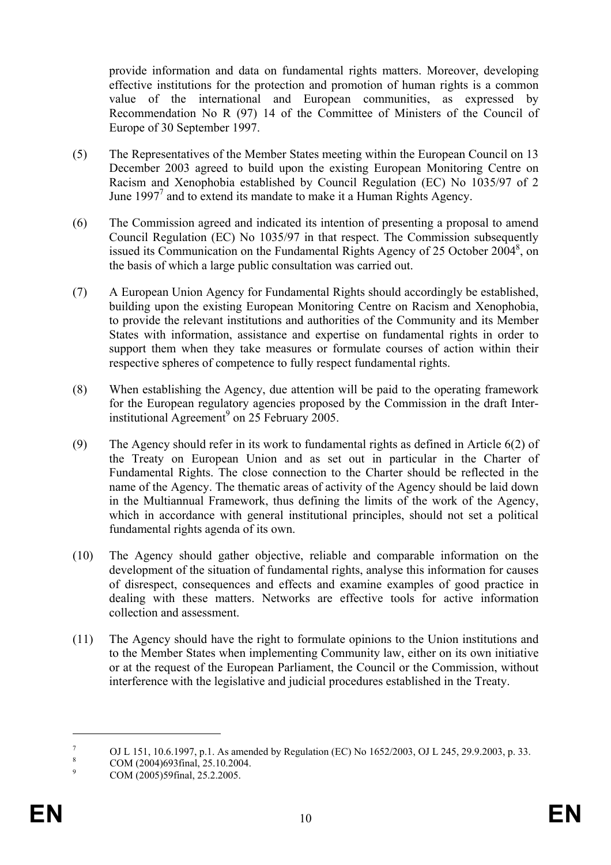provide information and data on fundamental rights matters. Moreover, developing effective institutions for the protection and promotion of human rights is a common value of the international and European communities, as expressed by Recommendation No R (97) 14 of the Committee of Ministers of the Council of Europe of 30 September 1997.

- (5) The Representatives of the Member States meeting within the European Council on 13 December 2003 agreed to build upon the existing European Monitoring Centre on Racism and Xenophobia established by Council Regulation (EC) No 1035/97 of 2 June 1997<sup>7</sup> and to extend its mandate to make it a Human Rights Agency.
- (6) The Commission agreed and indicated its intention of presenting a proposal to amend Council Regulation (EC) No 1035/97 in that respect. The Commission subsequently issued its Communication on the Fundamental Rights Agency of 25 October 2004<sup>8</sup>, on the basis of which a large public consultation was carried out.
- (7) A European Union Agency for Fundamental Rights should accordingly be established, building upon the existing European Monitoring Centre on Racism and Xenophobia, to provide the relevant institutions and authorities of the Community and its Member States with information, assistance and expertise on fundamental rights in order to support them when they take measures or formulate courses of action within their respective spheres of competence to fully respect fundamental rights.
- (8) When establishing the Agency, due attention will be paid to the operating framework for the European regulatory agencies proposed by the Commission in the draft Interinstitutional Agreement<sup>9</sup> on 25 February 2005.
- (9) The Agency should refer in its work to fundamental rights as defined in Article 6(2) of the Treaty on European Union and as set out in particular in the Charter of Fundamental Rights. The close connection to the Charter should be reflected in the name of the Agency. The thematic areas of activity of the Agency should be laid down in the Multiannual Framework, thus defining the limits of the work of the Agency, which in accordance with general institutional principles, should not set a political fundamental rights agenda of its own.
- (10) The Agency should gather objective, reliable and comparable information on the development of the situation of fundamental rights, analyse this information for causes of disrespect, consequences and effects and examine examples of good practice in dealing with these matters. Networks are effective tools for active information collection and assessment.
- (11) The Agency should have the right to formulate opinions to the Union institutions and to the Member States when implementing Community law, either on its own initiative or at the request of the European Parliament, the Council or the Commission, without interference with the legislative and judicial procedures established in the Treaty.

<u>.</u>

<sup>7</sup> OJ L 151, 10.6.1997, p.1. As amended by Regulation (EC) No 1652/2003, OJ L 245, 29.9.2003, p. 33.

<sup>8</sup> COM (2004)693final, 25.10.2004.

<sup>9</sup> COM (2005)59final, 25.2.2005.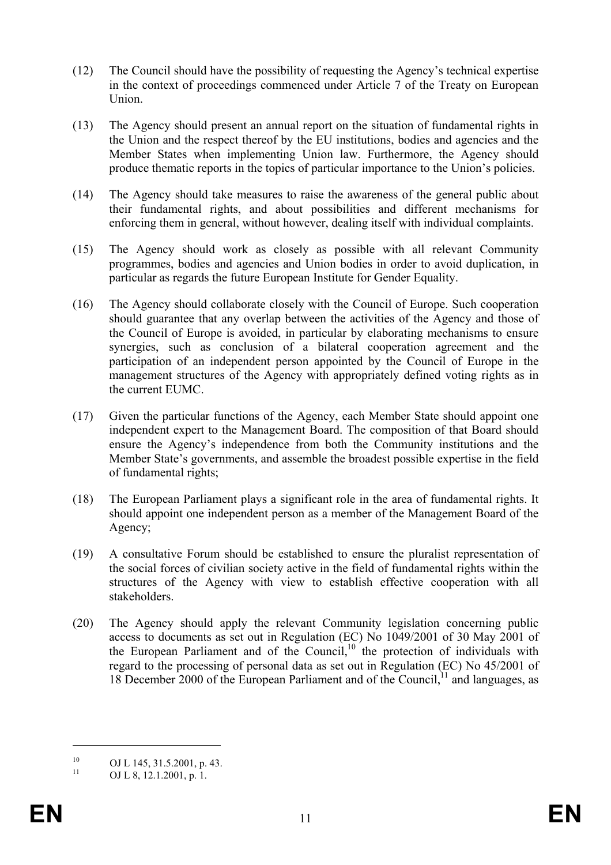- (12) The Council should have the possibility of requesting the Agency's technical expertise in the context of proceedings commenced under Article 7 of the Treaty on European Union.
- (13) The Agency should present an annual report on the situation of fundamental rights in the Union and the respect thereof by the EU institutions, bodies and agencies and the Member States when implementing Union law. Furthermore, the Agency should produce thematic reports in the topics of particular importance to the Union's policies.
- (14) The Agency should take measures to raise the awareness of the general public about their fundamental rights, and about possibilities and different mechanisms for enforcing them in general, without however, dealing itself with individual complaints.
- (15) The Agency should work as closely as possible with all relevant Community programmes, bodies and agencies and Union bodies in order to avoid duplication, in particular as regards the future European Institute for Gender Equality.
- (16) The Agency should collaborate closely with the Council of Europe. Such cooperation should guarantee that any overlap between the activities of the Agency and those of the Council of Europe is avoided, in particular by elaborating mechanisms to ensure synergies, such as conclusion of a bilateral cooperation agreement and the participation of an independent person appointed by the Council of Europe in the management structures of the Agency with appropriately defined voting rights as in the current EUMC.
- (17) Given the particular functions of the Agency, each Member State should appoint one independent expert to the Management Board. The composition of that Board should ensure the Agency's independence from both the Community institutions and the Member State's governments, and assemble the broadest possible expertise in the field of fundamental rights;
- (18) The European Parliament plays a significant role in the area of fundamental rights. It should appoint one independent person as a member of the Management Board of the Agency;
- (19) A consultative Forum should be established to ensure the pluralist representation of the social forces of civilian society active in the field of fundamental rights within the structures of the Agency with view to establish effective cooperation with all stakeholders.
- (20) The Agency should apply the relevant Community legislation concerning public access to documents as set out in Regulation (EC) No 1049/2001 of 30 May 2001 of the European Parliament and of the Council,<sup>10</sup> the protection of individuals with regard to the processing of personal data as set out in Regulation (EC) No 45/2001 of 18 December 2000 of the European Parliament and of the Council,  $11$  and languages, as

1

<sup>&</sup>lt;sup>10</sup> OJ L 145, 31.5.2001, p. 43.

OJ L 8, 12.1.2001, p. 1.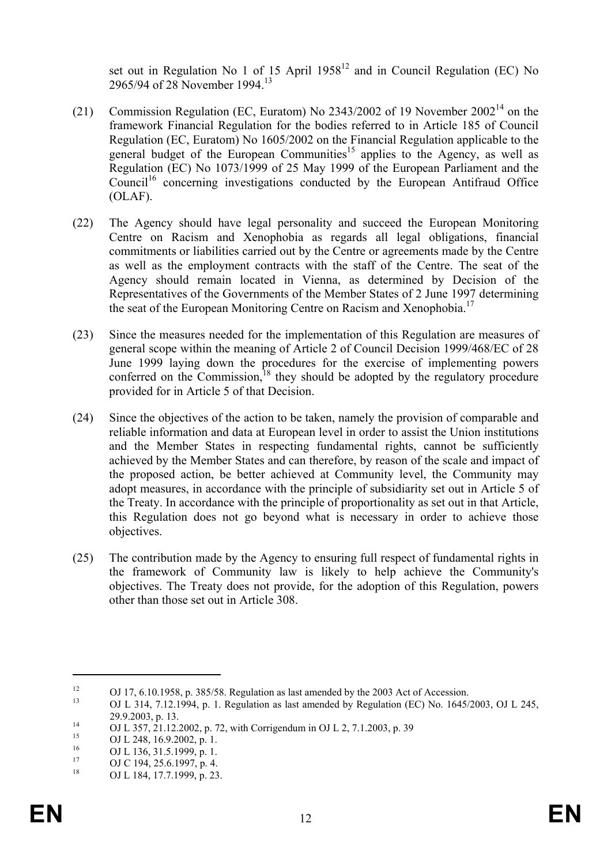set out in Regulation No 1 of 15 April  $1958<sup>12</sup>$  and in Council Regulation (EC) No 2965/94 of 28 November 1994.13

- (21) Commission Regulation (EC, Euratom) No 2343/2002 of 19 November  $2002^{14}$  on the framework Financial Regulation for the bodies referred to in Article 185 of Council Regulation (EC, Euratom) No 1605/2002 on the Financial Regulation applicable to the general budget of the European Communities<sup>15</sup> applies to the Agency, as well as Regulation (EC) No 1073/1999 of 25 May 1999 of the European Parliament and the Council<sup>16</sup> concerning investigations conducted by the European Antifraud Office (OLAF).
- (22) The Agency should have legal personality and succeed the European Monitoring Centre on Racism and Xenophobia as regards all legal obligations, financial commitments or liabilities carried out by the Centre or agreements made by the Centre as well as the employment contracts with the staff of the Centre. The seat of the Agency should remain located in Vienna, as determined by Decision of the Representatives of the Governments of the Member States of 2 June 1997 determining the seat of the European Monitoring Centre on Racism and Xenophobia.<sup>17</sup>
- (23) Since the measures needed for the implementation of this Regulation are measures of general scope within the meaning of Article 2 of Council Decision 1999/468/EC of 28 June 1999 laying down the procedures for the exercise of implementing powers conferred on the Commission, $18$  they should be adopted by the regulatory procedure provided for in Article 5 of that Decision.
- (24) Since the objectives of the action to be taken, namely the provision of comparable and reliable information and data at European level in order to assist the Union institutions and the Member States in respecting fundamental rights, cannot be sufficiently achieved by the Member States and can therefore, by reason of the scale and impact of the proposed action, be better achieved at Community level, the Community may adopt measures, in accordance with the principle of subsidiarity set out in Article 5 of the Treaty. In accordance with the principle of proportionality as set out in that Article, this Regulation does not go beyond what is necessary in order to achieve those objectives.
- (25) The contribution made by the Agency to ensuring full respect of fundamental rights in the framework of Community law is likely to help achieve the Community's objectives. The Treaty does not provide, for the adoption of this Regulation, powers other than those set out in Article 308.

1

<sup>&</sup>lt;sup>12</sup> OJ 17, 6.10.1958, p. 385/58. Regulation as last amended by the 2003 Act of Accession.<br><sup>13</sup> OJ L <sup>214</sup> 7.12.1994, p. 1. Regulation as last amended by Regulation (EC) No. 1645/

<sup>13</sup> OJ L 314, 7.12.1994, p. 1. Regulation as last amended by Regulation (EC) No. 1645/2003, OJ L 245,

<sup>29.9.2003,</sup> p. 13.<br>
OJ L 357, 21.12.2002, p. 72, with Corrigendum in OJ L 2, 7.1.2003, p. 39

<sup>&</sup>lt;sup>15</sup> OJ L 248, 16.9.2002, p. 1.

<sup>&</sup>lt;sup>16</sup> OJ L 136, 31.5.1999, p. 1.<br><sup>17</sup> OJ C 104, 35, 6, 1097, p. 4.

 $^{17}$  OJ C 194, 25.6.1997, p. 4.<br> $^{18}$  OJ L 194, 17.7, 1999, p. 22

OJ L 184, 17.7.1999, p. 23.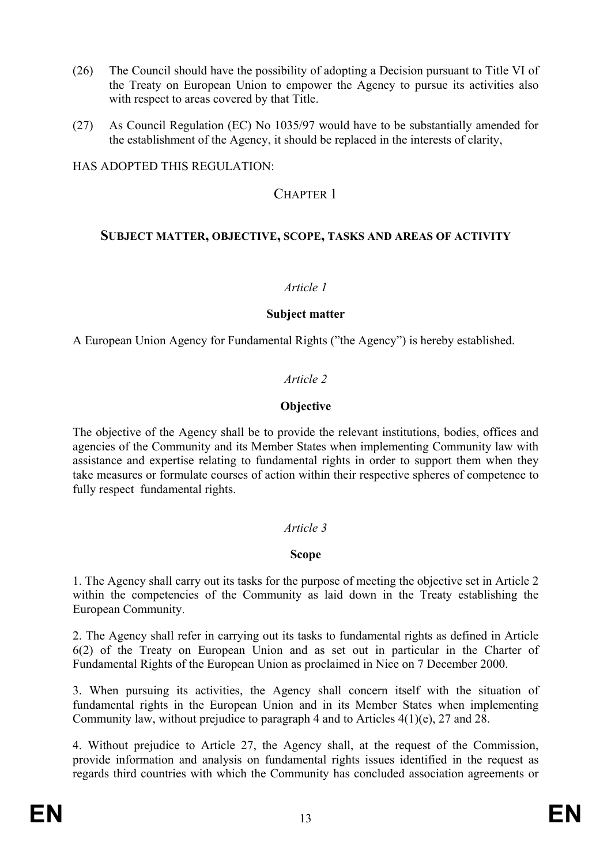- (26) The Council should have the possibility of adopting a Decision pursuant to Title VI of the Treaty on European Union to empower the Agency to pursue its activities also with respect to areas covered by that Title.
- (27) As Council Regulation (EC) No 1035/97 would have to be substantially amended for the establishment of the Agency, it should be replaced in the interests of clarity,

HAS ADOPTED THIS REGULATION:

# CHAPTER 1

## **SUBJECT MATTER, OBJECTIVE, SCOPE, TASKS AND AREAS OF ACTIVITY**

#### *Article 1*

#### **Subject matter**

A European Union Agency for Fundamental Rights ("the Agency") is hereby established.

## *Article 2*

#### **Objective**

The objective of the Agency shall be to provide the relevant institutions, bodies, offices and agencies of the Community and its Member States when implementing Community law with assistance and expertise relating to fundamental rights in order to support them when they take measures or formulate courses of action within their respective spheres of competence to fully respect fundamental rights.

## *Article 3*

#### **Scope**

1. The Agency shall carry out its tasks for the purpose of meeting the objective set in Article 2 within the competencies of the Community as laid down in the Treaty establishing the European Community.

2. The Agency shall refer in carrying out its tasks to fundamental rights as defined in Article 6(2) of the Treaty on European Union and as set out in particular in the Charter of Fundamental Rights of the European Union as proclaimed in Nice on 7 December 2000.

3. When pursuing its activities, the Agency shall concern itself with the situation of fundamental rights in the European Union and in its Member States when implementing Community law, without prejudice to paragraph 4 and to Articles 4(1)(e), 27 and 28.

4. Without prejudice to Article 27, the Agency shall, at the request of the Commission, provide information and analysis on fundamental rights issues identified in the request as regards third countries with which the Community has concluded association agreements or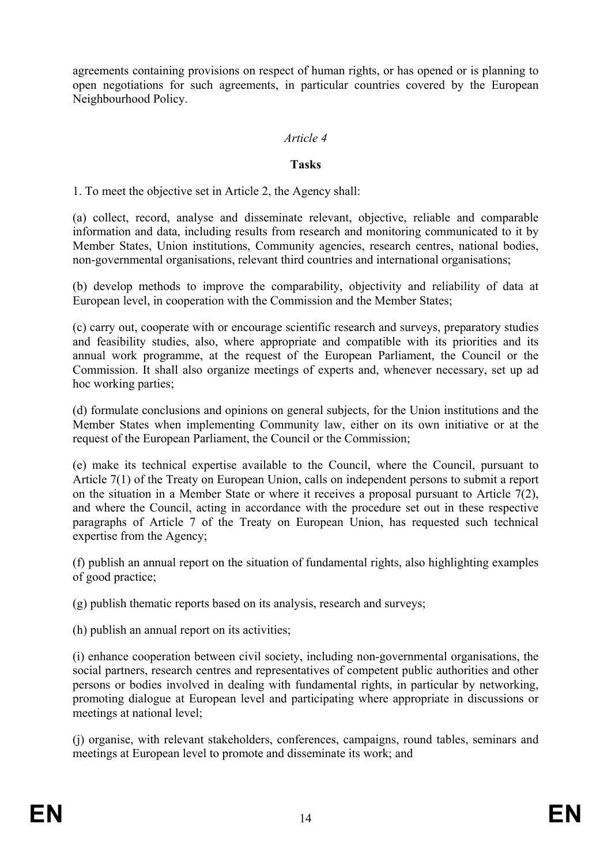agreements containing provisions on respect of human rights, or has opened or is planning to open negotiations for such agreements, in particular countries covered by the European Neighbourhood Policy.

#### *Article 4*

#### **Tasks**

1. To meet the objective set in Article 2, the Agency shall:

(a) collect, record, analyse and disseminate relevant, objective, reliable and comparable information and data, including results from research and monitoring communicated to it by Member States, Union institutions, Community agencies, research centres, national bodies, non-governmental organisations, relevant third countries and international organisations;

(b) develop methods to improve the comparability, objectivity and reliability of data at European level, in cooperation with the Commission and the Member States;

(c) carry out, cooperate with or encourage scientific research and surveys, preparatory studies and feasibility studies, also, where appropriate and compatible with its priorities and its annual work programme, at the request of the European Parliament, the Council or the Commission. It shall also organize meetings of experts and, whenever necessary, set up ad hoc working parties;

(d) formulate conclusions and opinions on general subjects, for the Union institutions and the Member States when implementing Community law, either on its own initiative or at the request of the European Parliament, the Council or the Commission;

(e) make its technical expertise available to the Council, where the Council, pursuant to Article 7(1) of the Treaty on European Union, calls on independent persons to submit a report on the situation in a Member State or where it receives a proposal pursuant to Article 7(2), and where the Council, acting in accordance with the procedure set out in these respective paragraphs of Article 7 of the Treaty on European Union, has requested such technical expertise from the Agency;

(f) publish an annual report on the situation of fundamental rights, also highlighting examples of good practice;

(g) publish thematic reports based on its analysis, research and surveys;

(h) publish an annual report on its activities;

(i) enhance cooperation between civil society, including non-governmental organisations, the social partners, research centres and representatives of competent public authorities and other persons or bodies involved in dealing with fundamental rights, in particular by networking, promoting dialogue at European level and participating where appropriate in discussions or meetings at national level;

(j) organise, with relevant stakeholders, conferences, campaigns, round tables, seminars and meetings at European level to promote and disseminate its work; and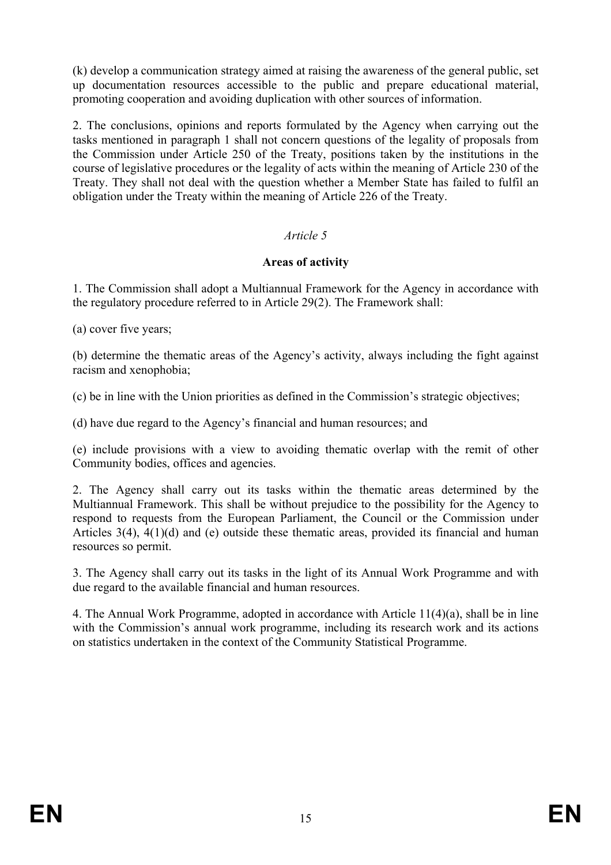(k) develop a communication strategy aimed at raising the awareness of the general public, set up documentation resources accessible to the public and prepare educational material, promoting cooperation and avoiding duplication with other sources of information.

2. The conclusions, opinions and reports formulated by the Agency when carrying out the tasks mentioned in paragraph 1 shall not concern questions of the legality of proposals from the Commission under Article 250 of the Treaty, positions taken by the institutions in the course of legislative procedures or the legality of acts within the meaning of Article 230 of the Treaty. They shall not deal with the question whether a Member State has failed to fulfil an obligation under the Treaty within the meaning of Article 226 of the Treaty.

# *Article 5*

## **Areas of activity**

1. The Commission shall adopt a Multiannual Framework for the Agency in accordance with the regulatory procedure referred to in Article 29(2). The Framework shall:

(a) cover five years;

(b) determine the thematic areas of the Agency's activity, always including the fight against racism and xenophobia;

(c) be in line with the Union priorities as defined in the Commission's strategic objectives;

(d) have due regard to the Agency's financial and human resources; and

(e) include provisions with a view to avoiding thematic overlap with the remit of other Community bodies, offices and agencies.

2. The Agency shall carry out its tasks within the thematic areas determined by the Multiannual Framework. This shall be without prejudice to the possibility for the Agency to respond to requests from the European Parliament, the Council or the Commission under Articles 3(4), 4(1)(d) and (e) outside these thematic areas, provided its financial and human resources so permit.

3. The Agency shall carry out its tasks in the light of its Annual Work Programme and with due regard to the available financial and human resources.

4. The Annual Work Programme, adopted in accordance with Article 11(4)(a), shall be in line with the Commission's annual work programme, including its research work and its actions on statistics undertaken in the context of the Community Statistical Programme.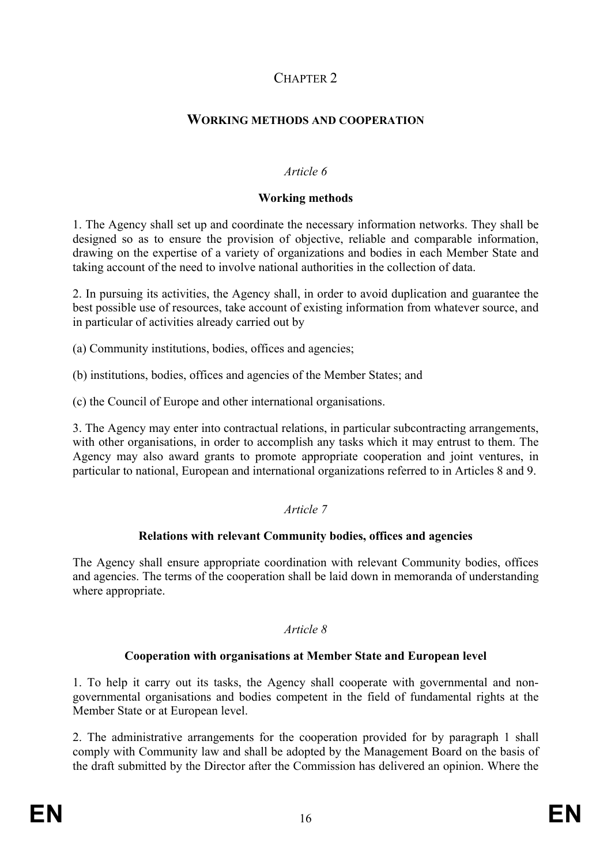# CHAPTER<sub>2</sub>

# **WORKING METHODS AND COOPERATION**

#### *Article 6*

#### **Working methods**

1. The Agency shall set up and coordinate the necessary information networks. They shall be designed so as to ensure the provision of objective, reliable and comparable information, drawing on the expertise of a variety of organizations and bodies in each Member State and taking account of the need to involve national authorities in the collection of data.

2. In pursuing its activities, the Agency shall, in order to avoid duplication and guarantee the best possible use of resources, take account of existing information from whatever source, and in particular of activities already carried out by

(a) Community institutions, bodies, offices and agencies;

(b) institutions, bodies, offices and agencies of the Member States; and

(c) the Council of Europe and other international organisations.

3. The Agency may enter into contractual relations, in particular subcontracting arrangements, with other organisations, in order to accomplish any tasks which it may entrust to them. The Agency may also award grants to promote appropriate cooperation and joint ventures, in particular to national, European and international organizations referred to in Articles 8 and 9.

## *Article 7*

# **Relations with relevant Community bodies, offices and agencies**

The Agency shall ensure appropriate coordination with relevant Community bodies, offices and agencies. The terms of the cooperation shall be laid down in memoranda of understanding where appropriate.

#### *Article 8*

## **Cooperation with organisations at Member State and European level**

1. To help it carry out its tasks, the Agency shall cooperate with governmental and nongovernmental organisations and bodies competent in the field of fundamental rights at the Member State or at European level.

2. The administrative arrangements for the cooperation provided for by paragraph 1 shall comply with Community law and shall be adopted by the Management Board on the basis of the draft submitted by the Director after the Commission has delivered an opinion. Where the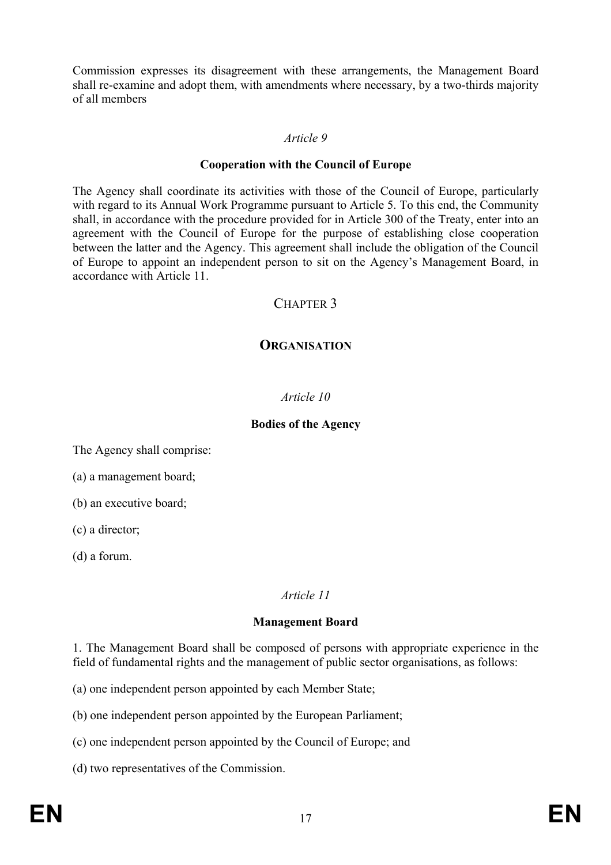Commission expresses its disagreement with these arrangements, the Management Board shall re-examine and adopt them, with amendments where necessary, by a two-thirds majority of all members

#### *Article 9*

#### **Cooperation with the Council of Europe**

The Agency shall coordinate its activities with those of the Council of Europe, particularly with regard to its Annual Work Programme pursuant to Article 5. To this end, the Community shall, in accordance with the procedure provided for in Article 300 of the Treaty, enter into an agreement with the Council of Europe for the purpose of establishing close cooperation between the latter and the Agency. This agreement shall include the obligation of the Council of Europe to appoint an independent person to sit on the Agency's Management Board, in accordance with Article 11.

# CHAPTER 3

# **ORGANISATION**

## *Article 10*

#### **Bodies of the Agency**

The Agency shall comprise:

(a) a management board;

(b) an executive board;

(c) a director;

(d) a forum.

## *Article 11*

## **Management Board**

1. The Management Board shall be composed of persons with appropriate experience in the field of fundamental rights and the management of public sector organisations, as follows:

(a) one independent person appointed by each Member State;

(b) one independent person appointed by the European Parliament;

(c) one independent person appointed by the Council of Europe; and

(d) two representatives of the Commission.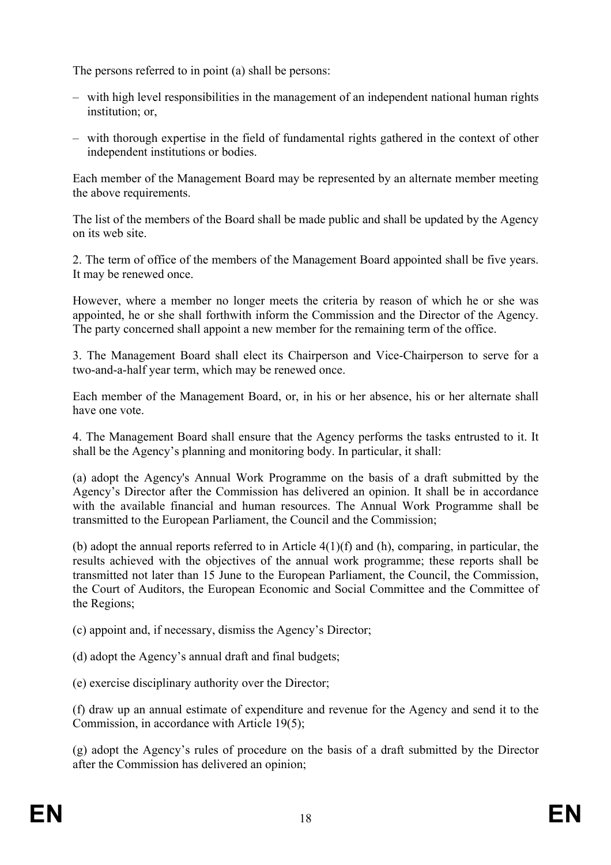The persons referred to in point (a) shall be persons:

- with high level responsibilities in the management of an independent national human rights institution; or,
- with thorough expertise in the field of fundamental rights gathered in the context of other independent institutions or bodies.

Each member of the Management Board may be represented by an alternate member meeting the above requirements.

The list of the members of the Board shall be made public and shall be updated by the Agency on its web site.

2. The term of office of the members of the Management Board appointed shall be five years. It may be renewed once.

However, where a member no longer meets the criteria by reason of which he or she was appointed, he or she shall forthwith inform the Commission and the Director of the Agency. The party concerned shall appoint a new member for the remaining term of the office.

3. The Management Board shall elect its Chairperson and Vice-Chairperson to serve for a two-and-a-half year term, which may be renewed once.

Each member of the Management Board, or, in his or her absence, his or her alternate shall have one vote.

4. The Management Board shall ensure that the Agency performs the tasks entrusted to it. It shall be the Agency's planning and monitoring body. In particular, it shall:

(a) adopt the Agency's Annual Work Programme on the basis of a draft submitted by the Agency's Director after the Commission has delivered an opinion. It shall be in accordance with the available financial and human resources. The Annual Work Programme shall be transmitted to the European Parliament, the Council and the Commission;

(b) adopt the annual reports referred to in Article 4(1)(f) and (h), comparing, in particular, the results achieved with the objectives of the annual work programme; these reports shall be transmitted not later than 15 June to the European Parliament, the Council, the Commission, the Court of Auditors, the European Economic and Social Committee and the Committee of the Regions;

(c) appoint and, if necessary, dismiss the Agency's Director;

(d) adopt the Agency's annual draft and final budgets;

(e) exercise disciplinary authority over the Director;

(f) draw up an annual estimate of expenditure and revenue for the Agency and send it to the Commission, in accordance with Article 19(5);

(g) adopt the Agency's rules of procedure on the basis of a draft submitted by the Director after the Commission has delivered an opinion;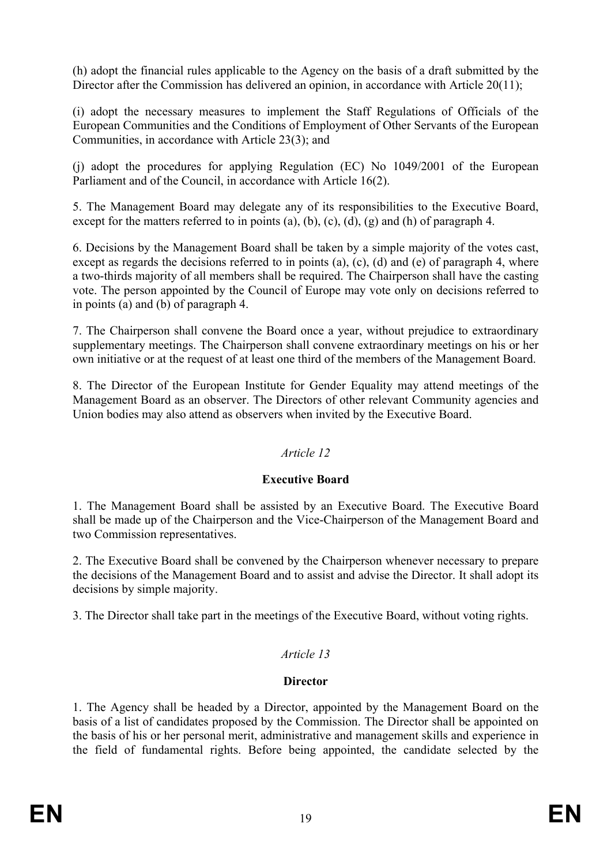(h) adopt the financial rules applicable to the Agency on the basis of a draft submitted by the Director after the Commission has delivered an opinion, in accordance with Article 20(11);

(i) adopt the necessary measures to implement the Staff Regulations of Officials of the European Communities and the Conditions of Employment of Other Servants of the European Communities, in accordance with Article 23(3); and

(j) adopt the procedures for applying Regulation (EC) No 1049/2001 of the European Parliament and of the Council, in accordance with Article 16(2).

5. The Management Board may delegate any of its responsibilities to the Executive Board, except for the matters referred to in points (a), (b), (c), (d), (g) and (h) of paragraph 4.

6. Decisions by the Management Board shall be taken by a simple majority of the votes cast, except as regards the decisions referred to in points (a), (c), (d) and (e) of paragraph 4, where a two-thirds majority of all members shall be required. The Chairperson shall have the casting vote. The person appointed by the Council of Europe may vote only on decisions referred to in points (a) and (b) of paragraph 4.

7. The Chairperson shall convene the Board once a year, without prejudice to extraordinary supplementary meetings. The Chairperson shall convene extraordinary meetings on his or her own initiative or at the request of at least one third of the members of the Management Board.

8. The Director of the European Institute for Gender Equality may attend meetings of the Management Board as an observer. The Directors of other relevant Community agencies and Union bodies may also attend as observers when invited by the Executive Board.

## *Article 12*

## **Executive Board**

1. The Management Board shall be assisted by an Executive Board. The Executive Board shall be made up of the Chairperson and the Vice-Chairperson of the Management Board and two Commission representatives.

2. The Executive Board shall be convened by the Chairperson whenever necessary to prepare the decisions of the Management Board and to assist and advise the Director. It shall adopt its decisions by simple majority.

3. The Director shall take part in the meetings of the Executive Board, without voting rights.

# *Article 13*

# **Director**

1. The Agency shall be headed by a Director, appointed by the Management Board on the basis of a list of candidates proposed by the Commission. The Director shall be appointed on the basis of his or her personal merit, administrative and management skills and experience in the field of fundamental rights. Before being appointed, the candidate selected by the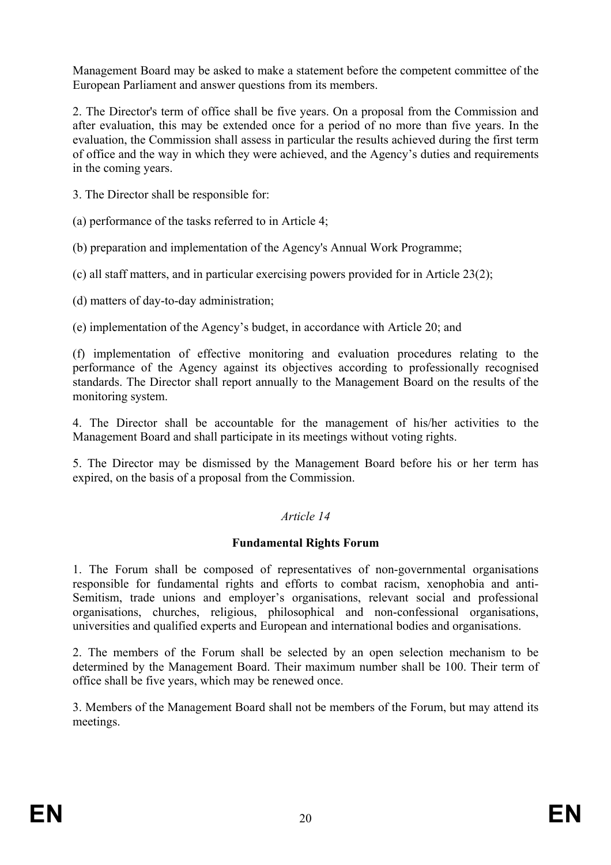Management Board may be asked to make a statement before the competent committee of the European Parliament and answer questions from its members.

2. The Director's term of office shall be five years. On a proposal from the Commission and after evaluation, this may be extended once for a period of no more than five years. In the evaluation, the Commission shall assess in particular the results achieved during the first term of office and the way in which they were achieved, and the Agency's duties and requirements in the coming years.

3. The Director shall be responsible for:

(a) performance of the tasks referred to in Article 4;

(b) preparation and implementation of the Agency's Annual Work Programme;

(c) all staff matters, and in particular exercising powers provided for in Article 23(2);

(d) matters of day-to-day administration;

(e) implementation of the Agency's budget, in accordance with Article 20; and

(f) implementation of effective monitoring and evaluation procedures relating to the performance of the Agency against its objectives according to professionally recognised standards. The Director shall report annually to the Management Board on the results of the monitoring system.

4. The Director shall be accountable for the management of his/her activities to the Management Board and shall participate in its meetings without voting rights.

5. The Director may be dismissed by the Management Board before his or her term has expired, on the basis of a proposal from the Commission.

#### *Article 14*

#### **Fundamental Rights Forum**

1. The Forum shall be composed of representatives of non-governmental organisations responsible for fundamental rights and efforts to combat racism, xenophobia and anti-Semitism, trade unions and employer's organisations, relevant social and professional organisations, churches, religious, philosophical and non-confessional organisations, universities and qualified experts and European and international bodies and organisations.

2. The members of the Forum shall be selected by an open selection mechanism to be determined by the Management Board. Their maximum number shall be 100. Their term of office shall be five years, which may be renewed once.

3. Members of the Management Board shall not be members of the Forum, but may attend its meetings.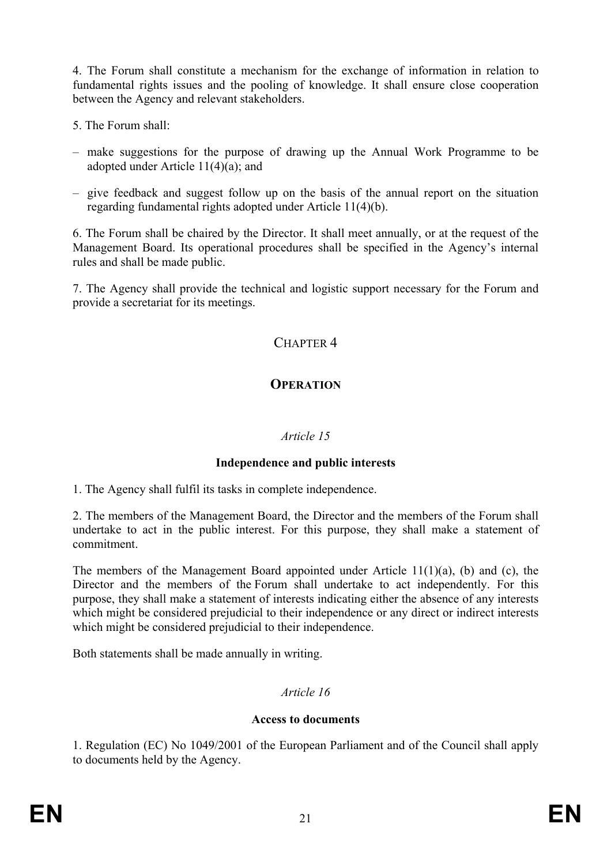4. The Forum shall constitute a mechanism for the exchange of information in relation to fundamental rights issues and the pooling of knowledge. It shall ensure close cooperation between the Agency and relevant stakeholders.

- 5. The Forum shall:
- make suggestions for the purpose of drawing up the Annual Work Programme to be adopted under Article 11(4)(a); and
- give feedback and suggest follow up on the basis of the annual report on the situation regarding fundamental rights adopted under Article 11(4)(b).

6. The Forum shall be chaired by the Director. It shall meet annually, or at the request of the Management Board. Its operational procedures shall be specified in the Agency's internal rules and shall be made public.

7. The Agency shall provide the technical and logistic support necessary for the Forum and provide a secretariat for its meetings.

# CHAPTER 4

# **OPERATION**

## *Article 15*

## **Independence and public interests**

1. The Agency shall fulfil its tasks in complete independence.

2. The members of the Management Board, the Director and the members of the Forum shall undertake to act in the public interest. For this purpose, they shall make a statement of commitment.

The members of the Management Board appointed under Article 11(1)(a), (b) and (c), the Director and the members of the Forum shall undertake to act independently. For this purpose, they shall make a statement of interests indicating either the absence of any interests which might be considered prejudicial to their independence or any direct or indirect interests which might be considered prejudicial to their independence.

Both statements shall be made annually in writing.

# *Article 16*

## **Access to documents**

1. Regulation (EC) No 1049/2001 of the European Parliament and of the Council shall apply to documents held by the Agency.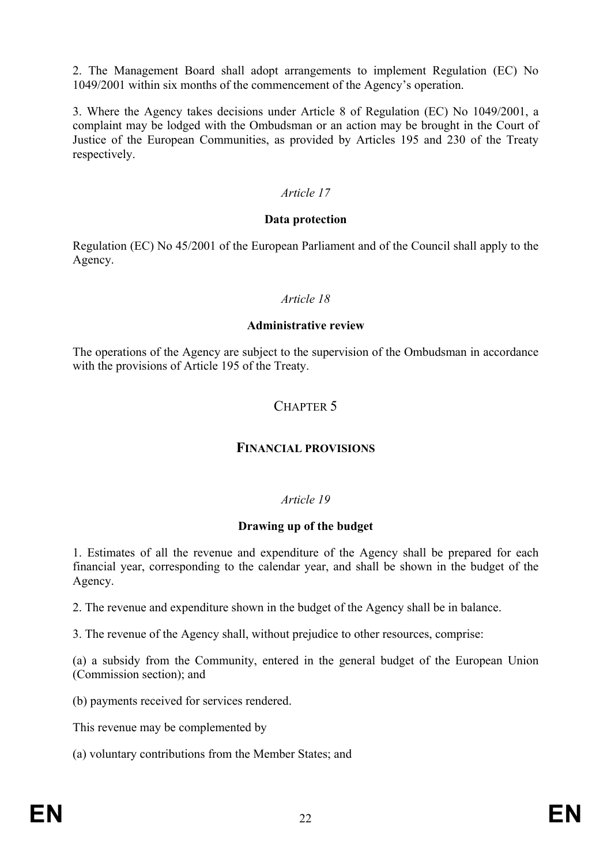2. The Management Board shall adopt arrangements to implement Regulation (EC) No 1049/2001 within six months of the commencement of the Agency's operation.

3. Where the Agency takes decisions under Article 8 of Regulation (EC) No 1049/2001, a complaint may be lodged with the Ombudsman or an action may be brought in the Court of Justice of the European Communities, as provided by Articles 195 and 230 of the Treaty respectively.

#### *Article 17*

#### **Data protection**

Regulation (EC) No 45/2001 of the European Parliament and of the Council shall apply to the Agency.

#### *Article 18*

#### **Administrative review**

The operations of the Agency are subject to the supervision of the Ombudsman in accordance with the provisions of Article 195 of the Treaty.

# CHAPTER 5

#### **FINANCIAL PROVISIONS**

#### *Article 19*

#### **Drawing up of the budget**

1. Estimates of all the revenue and expenditure of the Agency shall be prepared for each financial year, corresponding to the calendar year, and shall be shown in the budget of the Agency.

2. The revenue and expenditure shown in the budget of the Agency shall be in balance.

3. The revenue of the Agency shall, without prejudice to other resources, comprise:

(a) a subsidy from the Community, entered in the general budget of the European Union (Commission section); and

(b) payments received for services rendered.

This revenue may be complemented by

(a) voluntary contributions from the Member States; and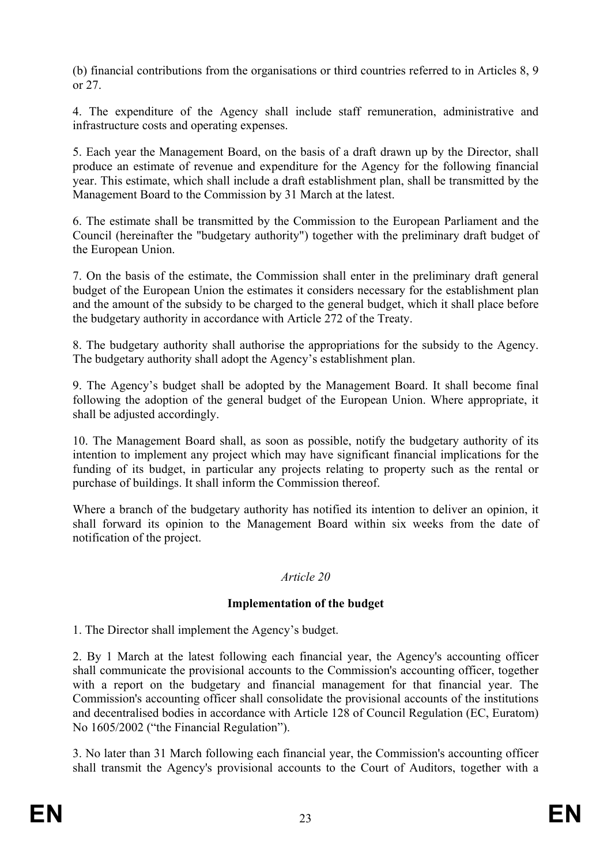(b) financial contributions from the organisations or third countries referred to in Articles 8, 9 or 27.

4. The expenditure of the Agency shall include staff remuneration, administrative and infrastructure costs and operating expenses.

5. Each year the Management Board, on the basis of a draft drawn up by the Director, shall produce an estimate of revenue and expenditure for the Agency for the following financial year. This estimate, which shall include a draft establishment plan, shall be transmitted by the Management Board to the Commission by 31 March at the latest.

6. The estimate shall be transmitted by the Commission to the European Parliament and the Council (hereinafter the "budgetary authority") together with the preliminary draft budget of the European Union.

7. On the basis of the estimate, the Commission shall enter in the preliminary draft general budget of the European Union the estimates it considers necessary for the establishment plan and the amount of the subsidy to be charged to the general budget, which it shall place before the budgetary authority in accordance with Article 272 of the Treaty.

8. The budgetary authority shall authorise the appropriations for the subsidy to the Agency. The budgetary authority shall adopt the Agency's establishment plan.

9. The Agency's budget shall be adopted by the Management Board. It shall become final following the adoption of the general budget of the European Union. Where appropriate, it shall be adjusted accordingly.

10. The Management Board shall, as soon as possible, notify the budgetary authority of its intention to implement any project which may have significant financial implications for the funding of its budget, in particular any projects relating to property such as the rental or purchase of buildings. It shall inform the Commission thereof.

Where a branch of the budgetary authority has notified its intention to deliver an opinion, it shall forward its opinion to the Management Board within six weeks from the date of notification of the project.

## *Article 20*

## **Implementation of the budget**

1. The Director shall implement the Agency's budget.

2. By 1 March at the latest following each financial year, the Agency's accounting officer shall communicate the provisional accounts to the Commission's accounting officer, together with a report on the budgetary and financial management for that financial year. The Commission's accounting officer shall consolidate the provisional accounts of the institutions and decentralised bodies in accordance with Article 128 of Council Regulation (EC, Euratom) No 1605/2002 ("the Financial Regulation").

3. No later than 31 March following each financial year, the Commission's accounting officer shall transmit the Agency's provisional accounts to the Court of Auditors, together with a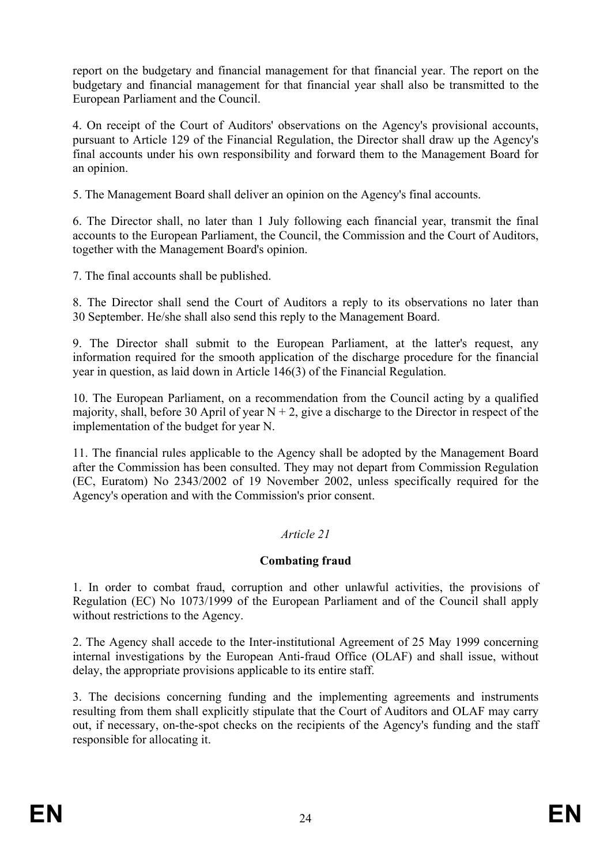report on the budgetary and financial management for that financial year. The report on the budgetary and financial management for that financial year shall also be transmitted to the European Parliament and the Council.

4. On receipt of the Court of Auditors' observations on the Agency's provisional accounts, pursuant to Article 129 of the Financial Regulation, the Director shall draw up the Agency's final accounts under his own responsibility and forward them to the Management Board for an opinion.

5. The Management Board shall deliver an opinion on the Agency's final accounts.

6. The Director shall, no later than 1 July following each financial year, transmit the final accounts to the European Parliament, the Council, the Commission and the Court of Auditors, together with the Management Board's opinion.

7. The final accounts shall be published.

8. The Director shall send the Court of Auditors a reply to its observations no later than 30 September. He/she shall also send this reply to the Management Board.

9. The Director shall submit to the European Parliament, at the latter's request, any information required for the smooth application of the discharge procedure for the financial year in question, as laid down in Article 146(3) of the Financial Regulation.

10. The European Parliament, on a recommendation from the Council acting by a qualified majority, shall, before 30 April of year  $N + 2$ , give a discharge to the Director in respect of the implementation of the budget for year N.

11. The financial rules applicable to the Agency shall be adopted by the Management Board after the Commission has been consulted. They may not depart from Commission Regulation (EC, Euratom) No 2343/2002 of 19 November 2002, unless specifically required for the Agency's operation and with the Commission's prior consent.

## *Article 21*

## **Combating fraud**

1. In order to combat fraud, corruption and other unlawful activities, the provisions of Regulation (EC) No 1073/1999 of the European Parliament and of the Council shall apply without restrictions to the Agency.

2. The Agency shall accede to the Inter-institutional Agreement of 25 May 1999 concerning internal investigations by the European Anti-fraud Office (OLAF) and shall issue, without delay, the appropriate provisions applicable to its entire staff.

3. The decisions concerning funding and the implementing agreements and instruments resulting from them shall explicitly stipulate that the Court of Auditors and OLAF may carry out, if necessary, on-the-spot checks on the recipients of the Agency's funding and the staff responsible for allocating it.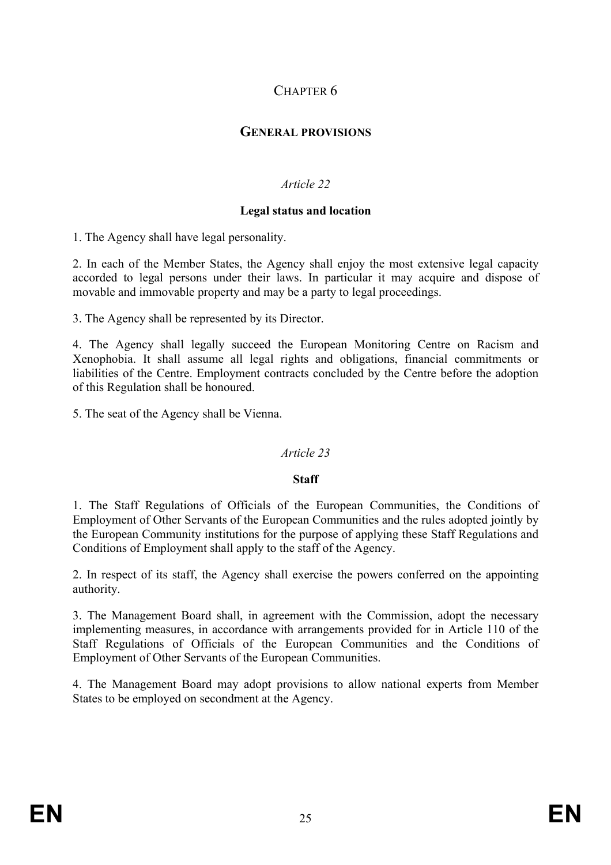# CHAPTER 6

# **GENERAL PROVISIONS**

# *Article 22*

#### **Legal status and location**

1. The Agency shall have legal personality.

2. In each of the Member States, the Agency shall enjoy the most extensive legal capacity accorded to legal persons under their laws. In particular it may acquire and dispose of movable and immovable property and may be a party to legal proceedings.

3. The Agency shall be represented by its Director.

4. The Agency shall legally succeed the European Monitoring Centre on Racism and Xenophobia. It shall assume all legal rights and obligations, financial commitments or liabilities of the Centre. Employment contracts concluded by the Centre before the adoption of this Regulation shall be honoured.

5. The seat of the Agency shall be Vienna.

## *Article 23*

#### **Staff**

1. The Staff Regulations of Officials of the European Communities, the Conditions of Employment of Other Servants of the European Communities and the rules adopted jointly by the European Community institutions for the purpose of applying these Staff Regulations and Conditions of Employment shall apply to the staff of the Agency.

2. In respect of its staff, the Agency shall exercise the powers conferred on the appointing authority.

3. The Management Board shall, in agreement with the Commission, adopt the necessary implementing measures, in accordance with arrangements provided for in Article 110 of the Staff Regulations of Officials of the European Communities and the Conditions of Employment of Other Servants of the European Communities.

4. The Management Board may adopt provisions to allow national experts from Member States to be employed on secondment at the Agency.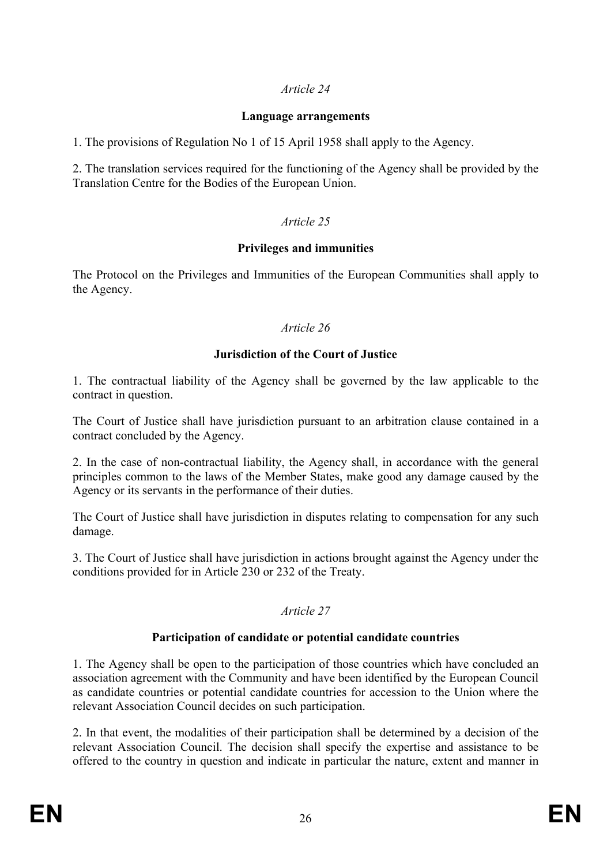# *Article 24*

#### **Language arrangements**

1. The provisions of Regulation No 1 of 15 April 1958 shall apply to the Agency.

2. The translation services required for the functioning of the Agency shall be provided by the Translation Centre for the Bodies of the European Union.

# *Article 25*

## **Privileges and immunities**

The Protocol on the Privileges and Immunities of the European Communities shall apply to the Agency.

## *Article 26*

## **Jurisdiction of the Court of Justice**

1. The contractual liability of the Agency shall be governed by the law applicable to the contract in question.

The Court of Justice shall have jurisdiction pursuant to an arbitration clause contained in a contract concluded by the Agency.

2. In the case of non-contractual liability, the Agency shall, in accordance with the general principles common to the laws of the Member States, make good any damage caused by the Agency or its servants in the performance of their duties.

The Court of Justice shall have jurisdiction in disputes relating to compensation for any such damage.

3. The Court of Justice shall have jurisdiction in actions brought against the Agency under the conditions provided for in Article 230 or 232 of the Treaty.

## *Article 27*

## **Participation of candidate or potential candidate countries**

1. The Agency shall be open to the participation of those countries which have concluded an association agreement with the Community and have been identified by the European Council as candidate countries or potential candidate countries for accession to the Union where the relevant Association Council decides on such participation.

2. In that event, the modalities of their participation shall be determined by a decision of the relevant Association Council. The decision shall specify the expertise and assistance to be offered to the country in question and indicate in particular the nature, extent and manner in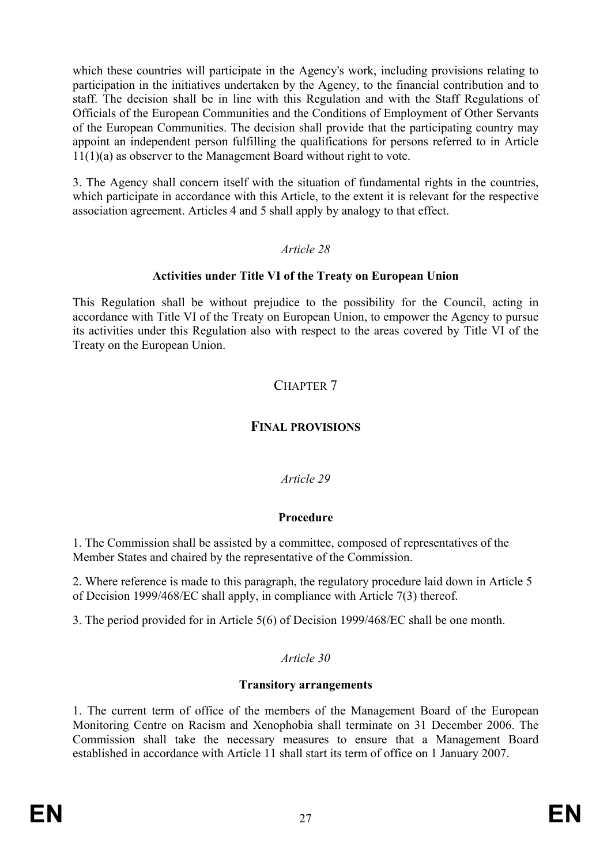which these countries will participate in the Agency's work, including provisions relating to participation in the initiatives undertaken by the Agency, to the financial contribution and to staff. The decision shall be in line with this Regulation and with the Staff Regulations of Officials of the European Communities and the Conditions of Employment of Other Servants of the European Communities. The decision shall provide that the participating country may appoint an independent person fulfilling the qualifications for persons referred to in Article 11(1)(a) as observer to the Management Board without right to vote.

3. The Agency shall concern itself with the situation of fundamental rights in the countries, which participate in accordance with this Article, to the extent it is relevant for the respective association agreement. Articles 4 and 5 shall apply by analogy to that effect.

## *Article 28*

## **Activities under Title VI of the Treaty on European Union**

This Regulation shall be without prejudice to the possibility for the Council, acting in accordance with Title VI of the Treaty on European Union, to empower the Agency to pursue its activities under this Regulation also with respect to the areas covered by Title VI of the Treaty on the European Union.

# CHAPTER 7

# **FINAL PROVISIONS**

# *Article 29*

# **Procedure**

1. The Commission shall be assisted by a committee, composed of representatives of the Member States and chaired by the representative of the Commission.

2. Where reference is made to this paragraph, the regulatory procedure laid down in Article 5 of Decision 1999/468/EC shall apply, in compliance with Article 7(3) thereof.

3. The period provided for in Article 5(6) of Decision 1999/468/EC shall be one month.

# *Article 30*

## **Transitory arrangements**

1. The current term of office of the members of the Management Board of the European Monitoring Centre on Racism and Xenophobia shall terminate on 31 December 2006. The Commission shall take the necessary measures to ensure that a Management Board established in accordance with Article 11 shall start its term of office on 1 January 2007.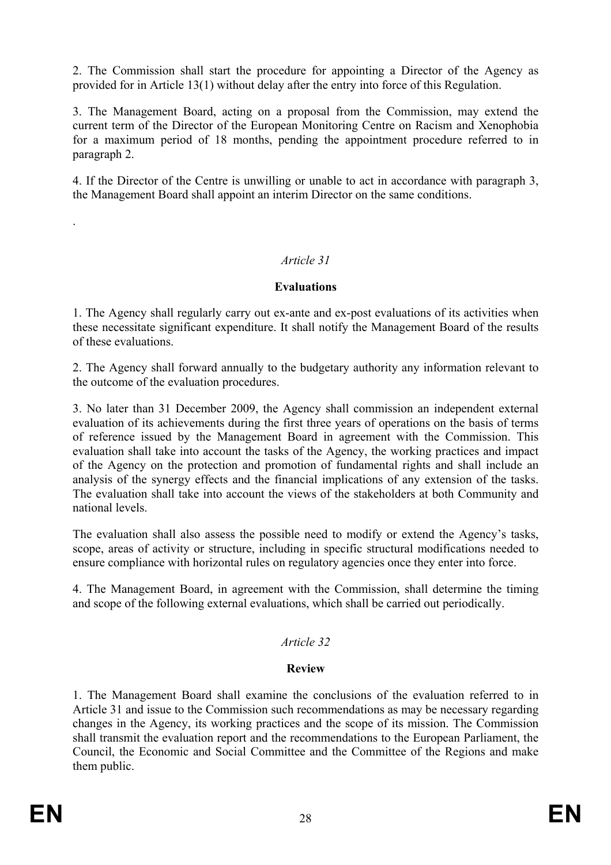2. The Commission shall start the procedure for appointing a Director of the Agency as provided for in Article 13(1) without delay after the entry into force of this Regulation.

3. The Management Board, acting on a proposal from the Commission, may extend the current term of the Director of the European Monitoring Centre on Racism and Xenophobia for a maximum period of 18 months, pending the appointment procedure referred to in paragraph 2.

4. If the Director of the Centre is unwilling or unable to act in accordance with paragraph 3, the Management Board shall appoint an interim Director on the same conditions.

# *Article 31*

#### **Evaluations**

1. The Agency shall regularly carry out ex-ante and ex-post evaluations of its activities when these necessitate significant expenditure. It shall notify the Management Board of the results of these evaluations.

2. The Agency shall forward annually to the budgetary authority any information relevant to the outcome of the evaluation procedures.

3. No later than 31 December 2009, the Agency shall commission an independent external evaluation of its achievements during the first three years of operations on the basis of terms of reference issued by the Management Board in agreement with the Commission. This evaluation shall take into account the tasks of the Agency, the working practices and impact of the Agency on the protection and promotion of fundamental rights and shall include an analysis of the synergy effects and the financial implications of any extension of the tasks. The evaluation shall take into account the views of the stakeholders at both Community and national levels.

The evaluation shall also assess the possible need to modify or extend the Agency's tasks, scope, areas of activity or structure, including in specific structural modifications needed to ensure compliance with horizontal rules on regulatory agencies once they enter into force.

4. The Management Board, in agreement with the Commission, shall determine the timing and scope of the following external evaluations, which shall be carried out periodically.

## *Article 32*

## **Review**

1. The Management Board shall examine the conclusions of the evaluation referred to in Article 31 and issue to the Commission such recommendations as may be necessary regarding changes in the Agency, its working practices and the scope of its mission. The Commission shall transmit the evaluation report and the recommendations to the European Parliament, the Council, the Economic and Social Committee and the Committee of the Regions and make them public.

.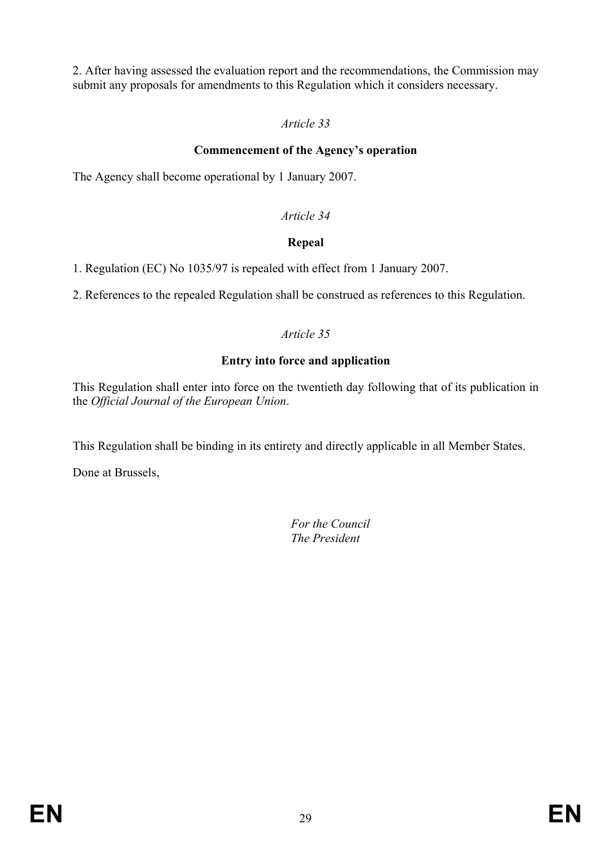2. After having assessed the evaluation report and the recommendations, the Commission may submit any proposals for amendments to this Regulation which it considers necessary.

# *Article 33*

# **Commencement of the Agency's operation**

The Agency shall become operational by 1 January 2007.

# *Article 34*

# **Repeal**

1. Regulation (EC) No 1035/97 is repealed with effect from 1 January 2007.

2. References to the repealed Regulation shall be construed as references to this Regulation.

# *Article 35*

# **Entry into force and application**

This Regulation shall enter into force on the twentieth day following that of its publication in the *Official Journal of the European Union*.

This Regulation shall be binding in its entirety and directly applicable in all Member States.

Done at Brussels,

 *For the Council The President*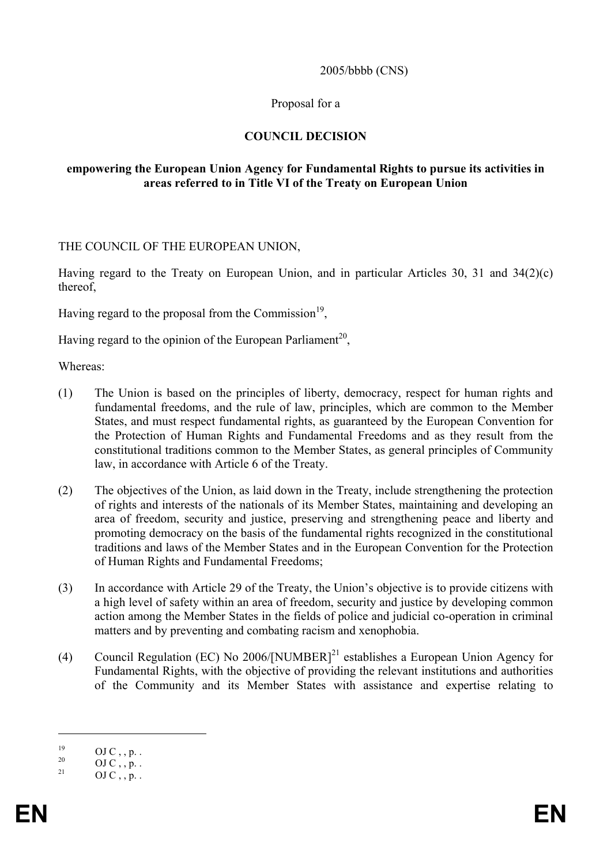#### 2005/bbbb (CNS)

#### Proposal for a

#### **COUNCIL DECISION**

#### **empowering the European Union Agency for Fundamental Rights to pursue its activities in areas referred to in Title VI of the Treaty on European Union**

THE COUNCIL OF THE EUROPEAN UNION,

Having regard to the Treaty on European Union, and in particular Articles 30, 31 and 34(2)(c) thereof,

Having regard to the proposal from the Commission<sup>19</sup>,

Having regard to the opinion of the European Parliament<sup>20</sup>,

Whereas:

- (1) The Union is based on the principles of liberty, democracy, respect for human rights and fundamental freedoms, and the rule of law, principles, which are common to the Member States, and must respect fundamental rights, as guaranteed by the European Convention for the Protection of Human Rights and Fundamental Freedoms and as they result from the constitutional traditions common to the Member States, as general principles of Community law, in accordance with Article 6 of the Treaty.
- (2) The objectives of the Union, as laid down in the Treaty, include strengthening the protection of rights and interests of the nationals of its Member States, maintaining and developing an area of freedom, security and justice, preserving and strengthening peace and liberty and promoting democracy on the basis of the fundamental rights recognized in the constitutional traditions and laws of the Member States and in the European Convention for the Protection of Human Rights and Fundamental Freedoms;
- (3) In accordance with Article 29 of the Treaty, the Union's objective is to provide citizens with a high level of safety within an area of freedom, security and justice by developing common action among the Member States in the fields of police and judicial co-operation in criminal matters and by preventing and combating racism and xenophobia.
- (4) Council Regulation (EC) No 2006/[NUMBER]<sup>21</sup> establishes a European Union Agency for Fundamental Rights, with the objective of providing the relevant institutions and authorities of the Community and its Member States with assistance and expertise relating to

 $\overline{a}$ 

 $^{19}$  OJ C, , p. .<br>20 OJ C, n.

 $^{20}$  OJ C , , p. .

OJ C , , p. .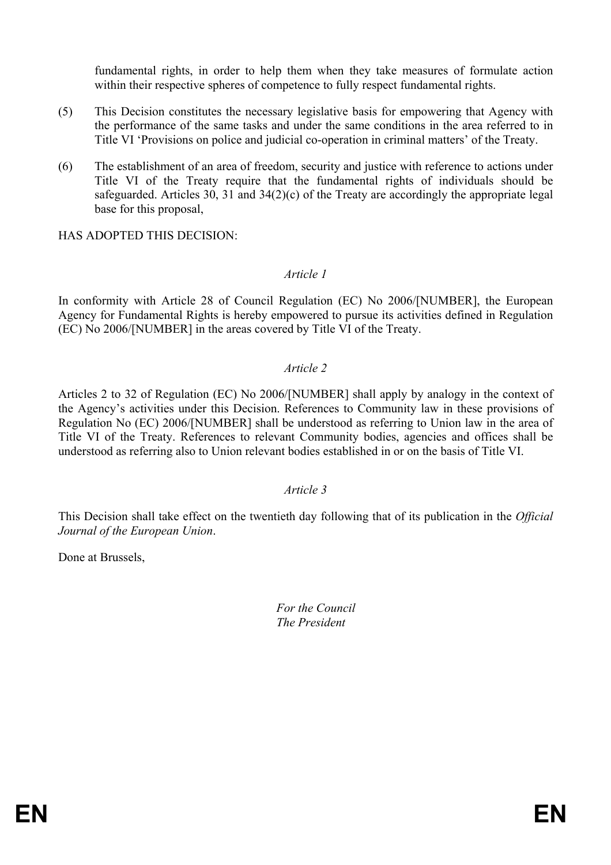fundamental rights, in order to help them when they take measures of formulate action within their respective spheres of competence to fully respect fundamental rights.

- (5) This Decision constitutes the necessary legislative basis for empowering that Agency with the performance of the same tasks and under the same conditions in the area referred to in Title VI 'Provisions on police and judicial co-operation in criminal matters' of the Treaty.
- (6) The establishment of an area of freedom, security and justice with reference to actions under Title VI of the Treaty require that the fundamental rights of individuals should be safeguarded. Articles 30, 31 and 34(2)(c) of the Treaty are accordingly the appropriate legal base for this proposal,

HAS ADOPTED THIS DECISION:

#### *Article 1*

In conformity with Article 28 of Council Regulation (EC) No 2006/[NUMBER], the European Agency for Fundamental Rights is hereby empowered to pursue its activities defined in Regulation (EC) No 2006/[NUMBER] in the areas covered by Title VI of the Treaty.

#### *Article 2*

Articles 2 to 32 of Regulation (EC) No 2006/[NUMBER] shall apply by analogy in the context of the Agency's activities under this Decision. References to Community law in these provisions of Regulation No (EC) 2006/[NUMBER] shall be understood as referring to Union law in the area of Title VI of the Treaty. References to relevant Community bodies, agencies and offices shall be understood as referring also to Union relevant bodies established in or on the basis of Title VI.

#### *Article 3*

This Decision shall take effect on the twentieth day following that of its publication in the *Official Journal of the European Union*.

Done at Brussels,

 *For the Council The President*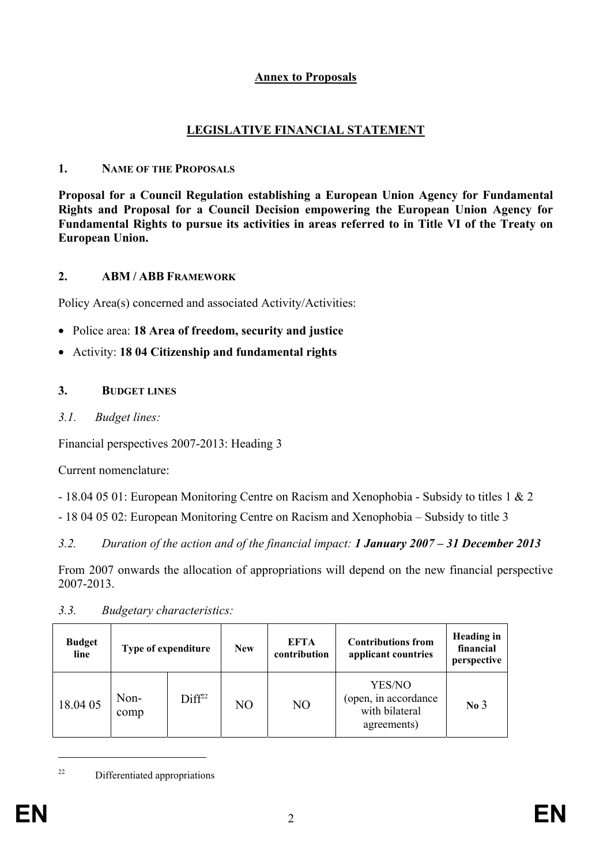## **Annex to Proposals**

# **LEGISLATIVE FINANCIAL STATEMENT**

## **1. NAME OF THE PROPOSALS**

**Proposal for a Council Regulation establishing a European Union Agency for Fundamental Rights and Proposal for a Council Decision empowering the European Union Agency for Fundamental Rights to pursue its activities in areas referred to in Title VI of the Treaty on European Union.** 

# **2. ABM / ABB FRAMEWORK**

Policy Area(s) concerned and associated Activity/Activities:

- Police area: **18 Area of freedom, security and justice**
- Activity: **18 04 Citizenship and fundamental rights**

# **3. BUDGET LINES**

*3.1. Budget lines:* 

Financial perspectives 2007-2013: Heading 3

Current nomenclature:

- 18.04 05 01: European Monitoring Centre on Racism and Xenophobia - Subsidy to titles 1 & 2

- 18 04 05 02: European Monitoring Centre on Racism and Xenophobia – Subsidy to title 3

*3.2. Duration of the action and of the financial impact: 1 January 2007 – 31 December 2013* 

From 2007 onwards the allocation of appropriations will depend on the new financial perspective 2007-2013.

*3.3. Budgetary characteristics:* 

| <b>Budget</b><br>line | Type of expenditure |                    | <b>New</b> | EFTA<br>contribution | <b>Contributions from</b><br>applicant countries                | <b>Heading</b> in<br>financial<br>perspective |
|-----------------------|---------------------|--------------------|------------|----------------------|-----------------------------------------------------------------|-----------------------------------------------|
| 18.04 05              | Non-<br>comp        | Diff <sup>22</sup> | NO         | N <sub>O</sub>       | YES/NO<br>(open, in accordance<br>with bilateral<br>agreements) | No <sub>3</sub>                               |

22 Differentiated appropriations

 $\overline{a}$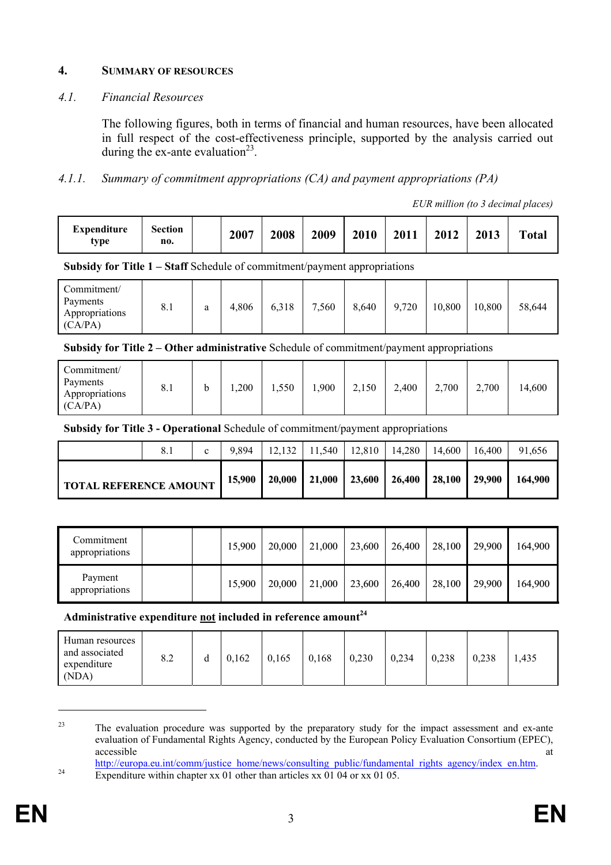#### **4. SUMMARY OF RESOURCES**

#### *4.1. Financial Resources*

The following figures, both in terms of financial and human resources, have been allocated in full respect of the cost-effectiveness principle, supported by the analysis carried out during the ex-ante evaluation<sup>23</sup>.

## *4.1.1. Summary of commitment appropriations (CA) and payment appropriations (PA)*

*EUR million (to 3 decimal places)* 

| Expenditure<br>type | <b>Section</b><br>no. |  | 2007 | 2008 | 2009 | 2010 | 2011 | 2012 | 2013 | <b>Total</b> |
|---------------------|-----------------------|--|------|------|------|------|------|------|------|--------------|
|---------------------|-----------------------|--|------|------|------|------|------|------|------|--------------|

**Subsidy for Title 1 – Staff** Schedule of commitment/payment appropriations

| Commitment/<br>Payments<br>Appropriations<br>(CA/PA) | 8.1 | a | 4,806 | 6,318 | ,560<br>$\overline{ }$ | 8,640 | 9,720 | 10,800 | 10,800 | 58,644 |
|------------------------------------------------------|-----|---|-------|-------|------------------------|-------|-------|--------|--------|--------|
|------------------------------------------------------|-----|---|-------|-------|------------------------|-------|-------|--------|--------|--------|

**Subsidy for Title 2 – Other administrative** Schedule of commitment/payment appropriations

| Commitment/<br>Payments<br>0.1<br>Appropriations<br>(CA/PA) |  | ,200 | 1,550 | 0.900 | 2,150 | 2,400 | 2,700 | 2,700 | 14,600 |
|-------------------------------------------------------------|--|------|-------|-------|-------|-------|-------|-------|--------|
|-------------------------------------------------------------|--|------|-------|-------|-------|-------|-------|-------|--------|

**Subsidy for Title 3 - Operational** Schedule of commitment/payment appropriations

|                               |  | c      | 9.894 | 12.132 | 11.540 | 12.810 | 14.280                                              | 14.600 | 16,400  | 91.656 |
|-------------------------------|--|--------|-------|--------|--------|--------|-----------------------------------------------------|--------|---------|--------|
| <b>TOTAL REFERENCE AMOUNT</b> |  | 15,900 |       |        |        |        | 20,000   21,000   23,600   26,400   28,100   29,900 |        | 164.900 |        |

| Commitment<br>appropriations |  | 15,900 | 20,000 | 21,000 | 23,600 | 26,400 | 28,100 | 29,900 | 164,900 |
|------------------------------|--|--------|--------|--------|--------|--------|--------|--------|---------|
| Payment<br>appropriations    |  | 15,900 | 20,000 | 21,000 | 23,600 | 26,400 | 28,100 | 29,900 | 164,900 |

**Administrative expenditure not included in reference amount<sup>24</sup>**

| Human resources<br>and associated<br>8.2<br>u<br>expenditure<br>(NDA) | 0,162 | 0,165 | 0,168 | 0,230 | 0,234 | 0,238 | 0.238 | 1,435 |
|-----------------------------------------------------------------------|-------|-------|-------|-------|-------|-------|-------|-------|
|-----------------------------------------------------------------------|-------|-------|-------|-------|-------|-------|-------|-------|

<sup>&</sup>lt;sup>23</sup> The evaluation procedure was supported by the preparatory study for the impact assessment and ex-ante evaluation of Fundamental Rights Agency, conducted by the European Policy Evaluation Consortium (EPEC), accessible at the contract of the contract of the contract of the contract of the contract of the contract of the contract of the contract of the contract of the contract of the contract of the contract of the contract of

 $\overline{a}$ 

http://europa.eu.int/comm/justice\_home/news/consulting\_public/fundamental\_rights\_agency/index\_en.htm.<br>Expenditure within chapter xx 01 other than articles xx 01 04 or xx 01 05.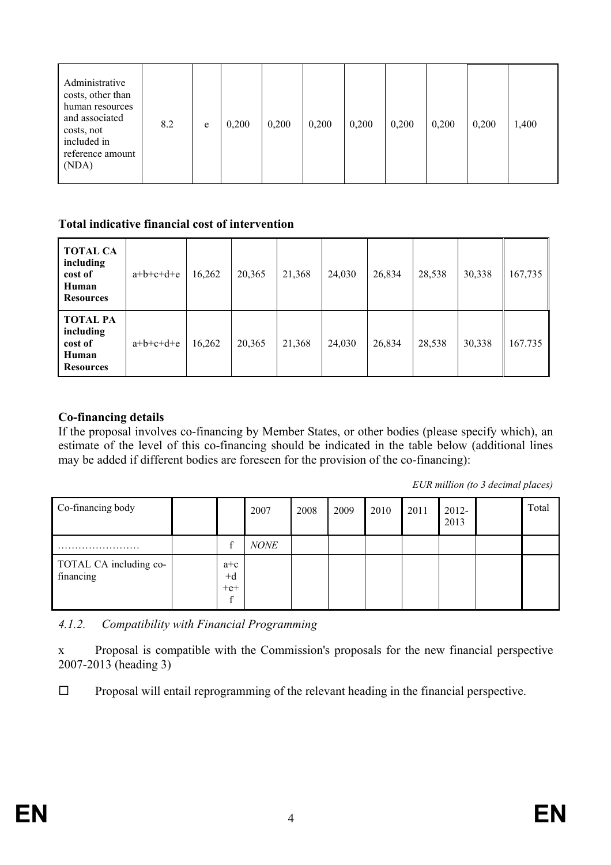| Administrative<br>costs, other than<br>human resources<br>and associated<br>costs, not<br>included in<br>reference amount<br>(NDA) | 8.2 | e | 0,200 | 0,200 | 0,200 | 0,200 | 0,200 | 0,200 | 0,200 | 1,400 |
|------------------------------------------------------------------------------------------------------------------------------------|-----|---|-------|-------|-------|-------|-------|-------|-------|-------|
|------------------------------------------------------------------------------------------------------------------------------------|-----|---|-------|-------|-------|-------|-------|-------|-------|-------|

#### **Total indicative financial cost of intervention**

| <b>TOTAL CA</b><br>including<br>cost of<br>Human<br><b>Resources</b> | $a+b+c+d+e$ | 16,262 | 20,365 | 21,368 | 24,030 | 26,834 | 28,538 | 30,338 | 167,735 |
|----------------------------------------------------------------------|-------------|--------|--------|--------|--------|--------|--------|--------|---------|
| <b>TOTAL PA</b><br>including<br>cost of<br>Human<br><b>Resources</b> | $a+b+c+d+e$ | 16,262 | 20,365 | 21,368 | 24,030 | 26,834 | 28,538 | 30,338 | 167.735 |

#### **Co-financing details**

If the proposal involves co-financing by Member States, or other bodies (please specify which), an estimate of the level of this co-financing should be indicated in the table below (additional lines may be added if different bodies are foreseen for the provision of the co-financing):

*EUR million (to 3 decimal places)* 

| Co-financing body                   |                                  | 2007        | 2008 | 2009 | 2010 | 2011 | $2012 -$<br>2013 | Total |
|-------------------------------------|----------------------------------|-------------|------|------|------|------|------------------|-------|
| .<br>$\cdots$                       | $\sim$                           | <b>NONE</b> |      |      |      |      |                  |       |
| TOTAL CA including co-<br>financing | $a+c$<br>$+d$<br>$+e+$<br>$\sim$ |             |      |      |      |      |                  |       |

*4.1.2. Compatibility with Financial Programming* 

x Proposal is compatible with the Commission's proposals for the new financial perspective 2007-2013 (heading 3)

 $\Box$  Proposal will entail reprogramming of the relevant heading in the financial perspective.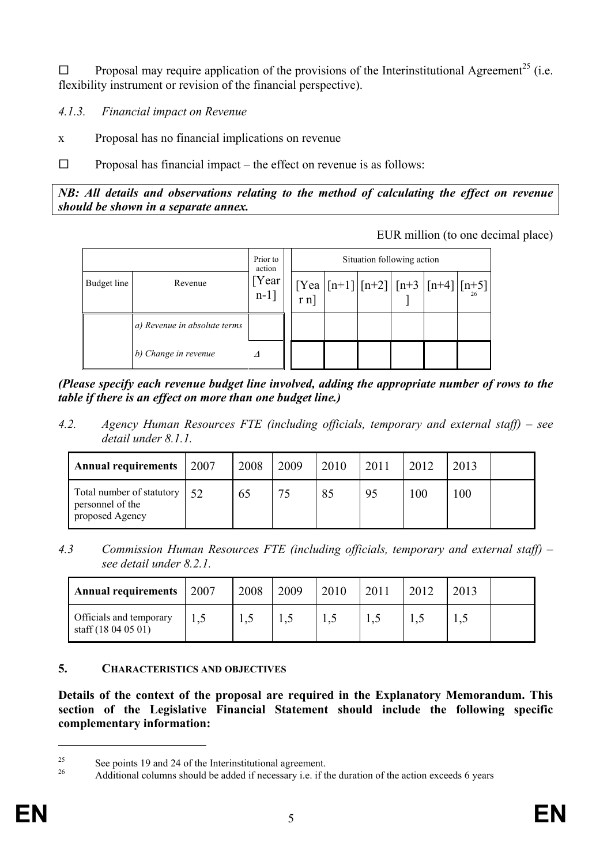$\Box$  Proposal may require application of the provisions of the Interinstitutional Agreement<sup>25</sup> (i.e. flexibility instrument or revision of the financial perspective).

*4.1.3. Financial impact on Revenue* 

x Proposal has no financial implications on revenue

 $\Box$  Proposal has financial impact – the effect on revenue is as follows:

*NB: All details and observations relating to the method of calculating the effect on revenue should be shown in a separate annex.* 

EUR million (to one decimal place)



*(Please specify each revenue budget line involved, adding the appropriate number of rows to the table if there is an effect on more than one budget line.)* 

*4.2. Agency Human Resources FTE (including officials, temporary and external staff) – see detail under 8.1.1.* 

| <b>Annual requirements</b>                                       | 2007 | 2008 | 2009 | 2010 | 2011 | 2012 | 2013 |  |
|------------------------------------------------------------------|------|------|------|------|------|------|------|--|
| Total number of statutory<br>personnel of the<br>proposed Agency | 52   | 65   | 75   | 85   | 95   | 100  | 100  |  |

*4.3 Commission Human Resources FTE (including officials, temporary and external staff) – see detail under 8.2.1.* 

| <b>Annual requirements</b>                     | 2007 | 2008 | 2009 | 2010 | 2011 | 2013 |  |
|------------------------------------------------|------|------|------|------|------|------|--|
| Officials and temporary<br>staff (18 04 05 01) |      | 1,4  |      |      | 1,0  | 1,0  |  |

#### **5. CHARACTERISTICS AND OBJECTIVES**

**Details of the context of the proposal are required in the Explanatory Memorandum. This section of the Legislative Financial Statement should include the following specific complementary information:** 

 $\overline{a}$ 

<sup>&</sup>lt;sup>25</sup> See points 19 and 24 of the Interinstitutional agreement.

<sup>26</sup> Additional columns should be added if necessary i.e. if the duration of the action exceeds 6 years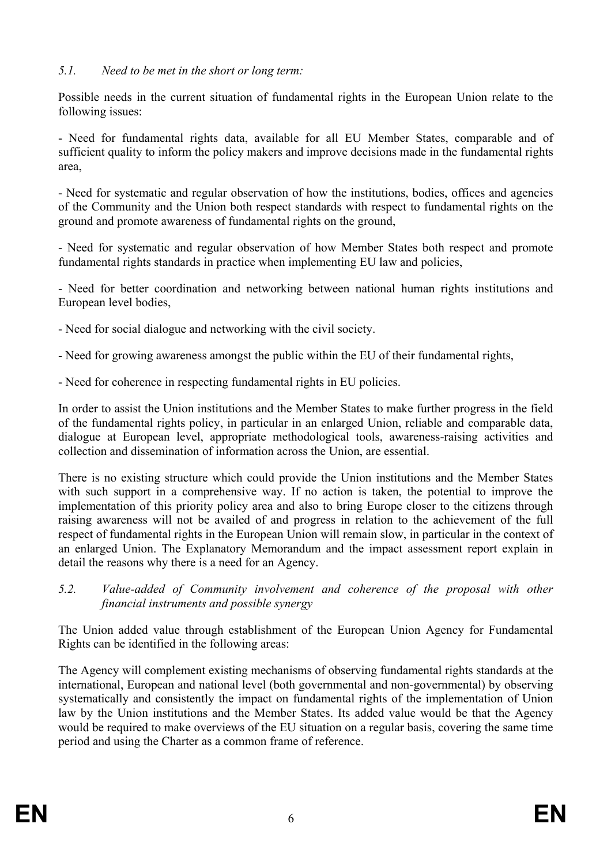## *5.1. Need to be met in the short or long term:*

Possible needs in the current situation of fundamental rights in the European Union relate to the following issues:

- Need for fundamental rights data, available for all EU Member States, comparable and of sufficient quality to inform the policy makers and improve decisions made in the fundamental rights area,

- Need for systematic and regular observation of how the institutions, bodies, offices and agencies of the Community and the Union both respect standards with respect to fundamental rights on the ground and promote awareness of fundamental rights on the ground,

- Need for systematic and regular observation of how Member States both respect and promote fundamental rights standards in practice when implementing EU law and policies,

- Need for better coordination and networking between national human rights institutions and European level bodies,

- Need for social dialogue and networking with the civil society.

- Need for growing awareness amongst the public within the EU of their fundamental rights,

- Need for coherence in respecting fundamental rights in EU policies.

In order to assist the Union institutions and the Member States to make further progress in the field of the fundamental rights policy, in particular in an enlarged Union, reliable and comparable data, dialogue at European level, appropriate methodological tools, awareness-raising activities and collection and dissemination of information across the Union, are essential.

There is no existing structure which could provide the Union institutions and the Member States with such support in a comprehensive way. If no action is taken, the potential to improve the implementation of this priority policy area and also to bring Europe closer to the citizens through raising awareness will not be availed of and progress in relation to the achievement of the full respect of fundamental rights in the European Union will remain slow, in particular in the context of an enlarged Union. The Explanatory Memorandum and the impact assessment report explain in detail the reasons why there is a need for an Agency.

*5.2. Value-added of Community involvement and coherence of the proposal with other financial instruments and possible synergy* 

The Union added value through establishment of the European Union Agency for Fundamental Rights can be identified in the following areas:

The Agency will complement existing mechanisms of observing fundamental rights standards at the international, European and national level (both governmental and non-governmental) by observing systematically and consistently the impact on fundamental rights of the implementation of Union law by the Union institutions and the Member States. Its added value would be that the Agency would be required to make overviews of the EU situation on a regular basis, covering the same time period and using the Charter as a common frame of reference.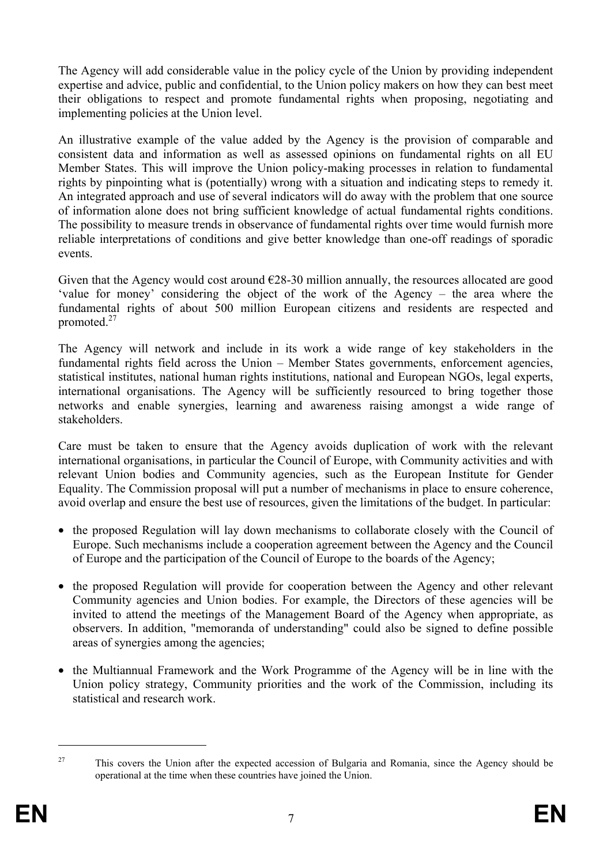The Agency will add considerable value in the policy cycle of the Union by providing independent expertise and advice, public and confidential, to the Union policy makers on how they can best meet their obligations to respect and promote fundamental rights when proposing, negotiating and implementing policies at the Union level.

An illustrative example of the value added by the Agency is the provision of comparable and consistent data and information as well as assessed opinions on fundamental rights on all EU Member States. This will improve the Union policy-making processes in relation to fundamental rights by pinpointing what is (potentially) wrong with a situation and indicating steps to remedy it. An integrated approach and use of several indicators will do away with the problem that one source of information alone does not bring sufficient knowledge of actual fundamental rights conditions. The possibility to measure trends in observance of fundamental rights over time would furnish more reliable interpretations of conditions and give better knowledge than one-off readings of sporadic events.

Given that the Agency would cost around  $E28-30$  million annually, the resources allocated are good 'value for money' considering the object of the work of the Agency – the area where the fundamental rights of about 500 million European citizens and residents are respected and promoted.27

The Agency will network and include in its work a wide range of key stakeholders in the fundamental rights field across the Union – Member States governments, enforcement agencies, statistical institutes, national human rights institutions, national and European NGOs, legal experts, international organisations. The Agency will be sufficiently resourced to bring together those networks and enable synergies, learning and awareness raising amongst a wide range of stakeholders.

Care must be taken to ensure that the Agency avoids duplication of work with the relevant international organisations, in particular the Council of Europe, with Community activities and with relevant Union bodies and Community agencies, such as the European Institute for Gender Equality. The Commission proposal will put a number of mechanisms in place to ensure coherence, avoid overlap and ensure the best use of resources, given the limitations of the budget. In particular:

- the proposed Regulation will lay down mechanisms to collaborate closely with the Council of Europe. Such mechanisms include a cooperation agreement between the Agency and the Council of Europe and the participation of the Council of Europe to the boards of the Agency;
- the proposed Regulation will provide for cooperation between the Agency and other relevant Community agencies and Union bodies. For example, the Directors of these agencies will be invited to attend the meetings of the Management Board of the Agency when appropriate, as observers. In addition, "memoranda of understanding" could also be signed to define possible areas of synergies among the agencies;
- the Multiannual Framework and the Work Programme of the Agency will be in line with the Union policy strategy, Community priorities and the work of the Commission, including its statistical and research work.

 $\overline{a}$ 

<sup>&</sup>lt;sup>27</sup> This covers the Union after the expected accession of Bulgaria and Romania, since the Agency should be operational at the time when these countries have joined the Union.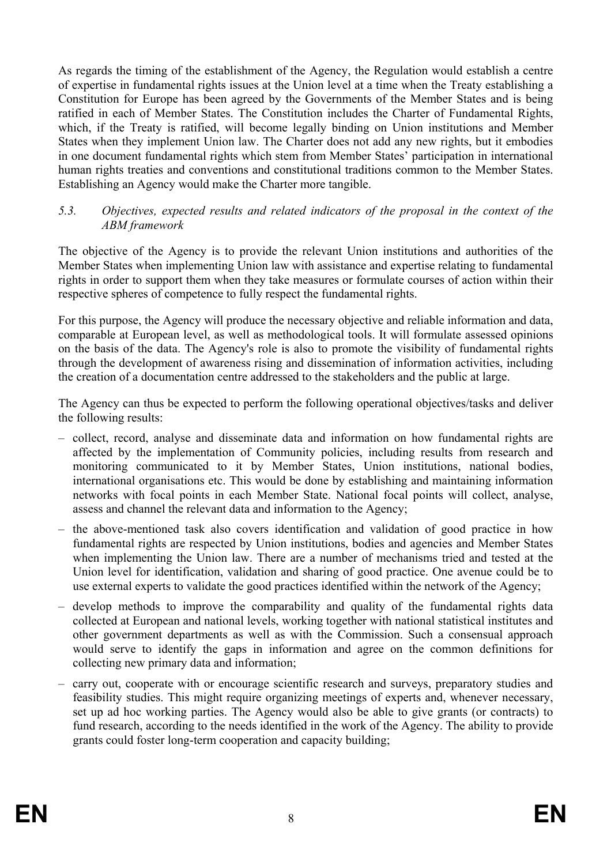As regards the timing of the establishment of the Agency, the Regulation would establish a centre of expertise in fundamental rights issues at the Union level at a time when the Treaty establishing a Constitution for Europe has been agreed by the Governments of the Member States and is being ratified in each of Member States. The Constitution includes the Charter of Fundamental Rights, which, if the Treaty is ratified, will become legally binding on Union institutions and Member States when they implement Union law. The Charter does not add any new rights, but it embodies in one document fundamental rights which stem from Member States' participation in international human rights treaties and conventions and constitutional traditions common to the Member States. Establishing an Agency would make the Charter more tangible.

#### *5.3. Objectives, expected results and related indicators of the proposal in the context of the ABM framework*

The objective of the Agency is to provide the relevant Union institutions and authorities of the Member States when implementing Union law with assistance and expertise relating to fundamental rights in order to support them when they take measures or formulate courses of action within their respective spheres of competence to fully respect the fundamental rights.

For this purpose, the Agency will produce the necessary objective and reliable information and data, comparable at European level, as well as methodological tools. It will formulate assessed opinions on the basis of the data. The Agency's role is also to promote the visibility of fundamental rights through the development of awareness rising and dissemination of information activities, including the creation of a documentation centre addressed to the stakeholders and the public at large.

The Agency can thus be expected to perform the following operational objectives/tasks and deliver the following results:

- collect, record, analyse and disseminate data and information on how fundamental rights are affected by the implementation of Community policies, including results from research and monitoring communicated to it by Member States, Union institutions, national bodies, international organisations etc. This would be done by establishing and maintaining information networks with focal points in each Member State. National focal points will collect, analyse, assess and channel the relevant data and information to the Agency;
- the above-mentioned task also covers identification and validation of good practice in how fundamental rights are respected by Union institutions, bodies and agencies and Member States when implementing the Union law. There are a number of mechanisms tried and tested at the Union level for identification, validation and sharing of good practice. One avenue could be to use external experts to validate the good practices identified within the network of the Agency;
- develop methods to improve the comparability and quality of the fundamental rights data collected at European and national levels, working together with national statistical institutes and other government departments as well as with the Commission. Such a consensual approach would serve to identify the gaps in information and agree on the common definitions for collecting new primary data and information;
- carry out, cooperate with or encourage scientific research and surveys, preparatory studies and feasibility studies. This might require organizing meetings of experts and, whenever necessary, set up ad hoc working parties. The Agency would also be able to give grants (or contracts) to fund research, according to the needs identified in the work of the Agency. The ability to provide grants could foster long-term cooperation and capacity building;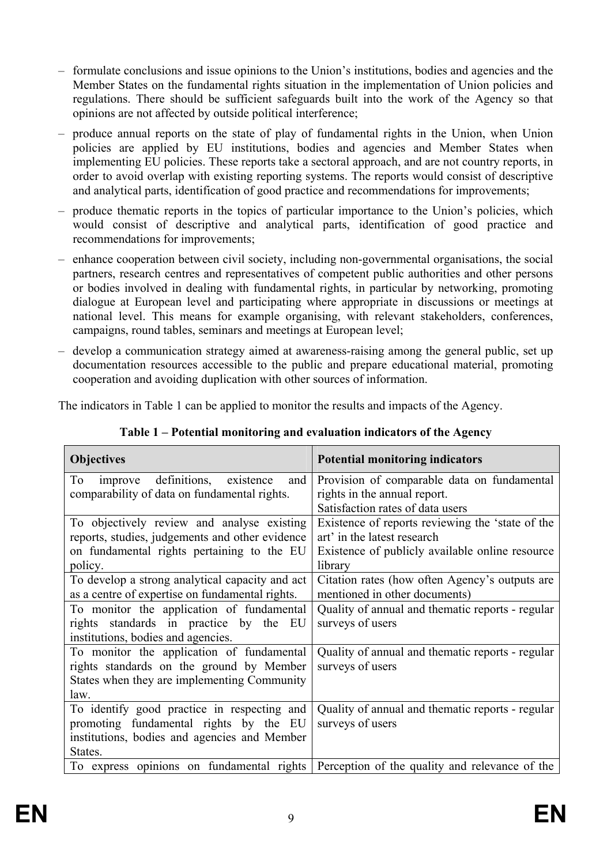- formulate conclusions and issue opinions to the Union's institutions, bodies and agencies and the Member States on the fundamental rights situation in the implementation of Union policies and regulations. There should be sufficient safeguards built into the work of the Agency so that opinions are not affected by outside political interference;
- produce annual reports on the state of play of fundamental rights in the Union, when Union policies are applied by EU institutions, bodies and agencies and Member States when implementing EU policies. These reports take a sectoral approach, and are not country reports, in order to avoid overlap with existing reporting systems. The reports would consist of descriptive and analytical parts, identification of good practice and recommendations for improvements;
- produce thematic reports in the topics of particular importance to the Union's policies, which would consist of descriptive and analytical parts, identification of good practice and recommendations for improvements;
- enhance cooperation between civil society, including non-governmental organisations, the social partners, research centres and representatives of competent public authorities and other persons or bodies involved in dealing with fundamental rights, in particular by networking, promoting dialogue at European level and participating where appropriate in discussions or meetings at national level. This means for example organising, with relevant stakeholders, conferences, campaigns, round tables, seminars and meetings at European level;
- develop a communication strategy aimed at awareness-raising among the general public, set up documentation resources accessible to the public and prepare educational material, promoting cooperation and avoiding duplication with other sources of information.

The indicators in Table 1 can be applied to monitor the results and impacts of the Agency.

| <b>Objectives</b>                                 | <b>Potential monitoring indicators</b>           |
|---------------------------------------------------|--------------------------------------------------|
| definitions,<br>To<br>existence<br>and<br>improve | Provision of comparable data on fundamental      |
| comparability of data on fundamental rights.      | rights in the annual report.                     |
|                                                   | Satisfaction rates of data users                 |
| To objectively review and analyse existing        | Existence of reports reviewing the 'state of the |
| reports, studies, judgements and other evidence   | art' in the latest research                      |
| on fundamental rights pertaining to the EU        | Existence of publicly available online resource  |
| policy.                                           | library                                          |
| To develop a strong analytical capacity and act   | Citation rates (how often Agency's outputs are   |
| as a centre of expertise on fundamental rights.   | mentioned in other documents)                    |
| To monitor the application of fundamental         | Quality of annual and thematic reports - regular |
| rights standards in practice by the<br>EU         | surveys of users                                 |
| institutions, bodies and agencies.                |                                                  |
| To monitor the application of fundamental         | Quality of annual and thematic reports - regular |
| rights standards on the ground by Member          | surveys of users                                 |
| States when they are implementing Community       |                                                  |
| law.                                              |                                                  |
| To identify good practice in respecting and       | Quality of annual and thematic reports - regular |
| promoting fundamental rights by the EU            | surveys of users                                 |
| institutions, bodies and agencies and Member      |                                                  |
| States.                                           |                                                  |
| To express opinions on fundamental rights         | Perception of the quality and relevance of the   |

**Table 1 – Potential monitoring and evaluation indicators of the Agency**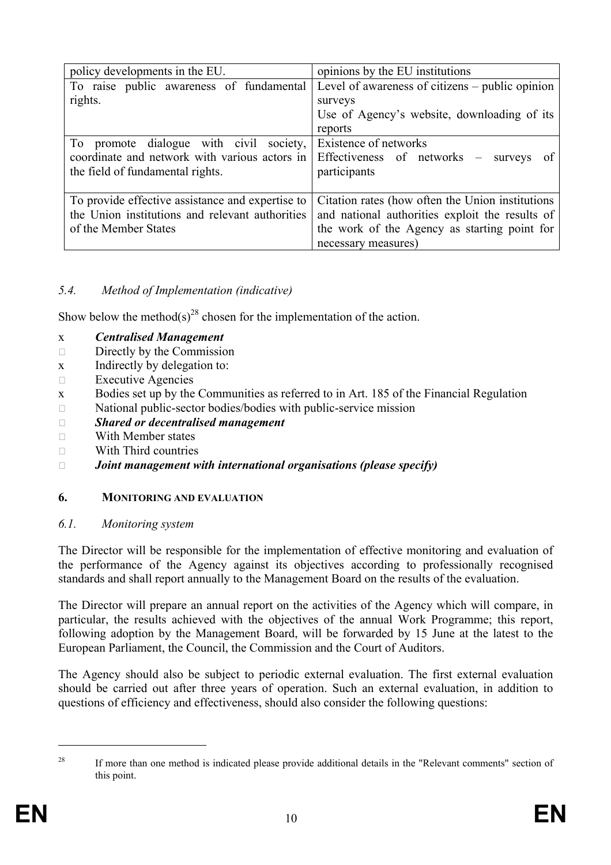| policy developments in the EU.                   | opinions by the EU institutions                   |  |  |  |  |  |  |  |
|--------------------------------------------------|---------------------------------------------------|--|--|--|--|--|--|--|
| To raise public awareness of fundamental         | Level of awareness of citizens – public opinion   |  |  |  |  |  |  |  |
| rights.                                          | surveys                                           |  |  |  |  |  |  |  |
|                                                  | Use of Agency's website, downloading of its       |  |  |  |  |  |  |  |
|                                                  | reports                                           |  |  |  |  |  |  |  |
| To promote dialogue with civil society,          | Existence of networks                             |  |  |  |  |  |  |  |
| coordinate and network with various actors in    | Effectiveness of networks – surveys<br>of         |  |  |  |  |  |  |  |
| the field of fundamental rights.                 | participants                                      |  |  |  |  |  |  |  |
|                                                  |                                                   |  |  |  |  |  |  |  |
| To provide effective assistance and expertise to | Citation rates (how often the Union institutions) |  |  |  |  |  |  |  |
| the Union institutions and relevant authorities  | and national authorities exploit the results of   |  |  |  |  |  |  |  |
| of the Member States                             | the work of the Agency as starting point for      |  |  |  |  |  |  |  |
|                                                  | necessary measures)                               |  |  |  |  |  |  |  |

# *5.4. Method of Implementation (indicative)*

Show below the method(s)<sup>28</sup> chosen for the implementation of the action.

- x *Centralised Management*
- $\Box$  Directly by the Commission
- x Indirectly by delegation to:
- $\Box$  Executive Agencies
- x Bodies set up by the Communities as referred to in Art. 185 of the Financial Regulation
- $\Box$  National public-sector bodies/bodies with public-service mission
- ٱ *Shared or decentralised management*
- $\neg$  With Member states
- $\neg$  With Third countries

#### ٱ *Joint management with international organisations (please specify)*

## **6. MONITORING AND EVALUATION**

#### *6.1. Monitoring system*

The Director will be responsible for the implementation of effective monitoring and evaluation of the performance of the Agency against its objectives according to professionally recognised standards and shall report annually to the Management Board on the results of the evaluation.

The Director will prepare an annual report on the activities of the Agency which will compare, in particular, the results achieved with the objectives of the annual Work Programme; this report, following adoption by the Management Board, will be forwarded by 15 June at the latest to the European Parliament, the Council, the Commission and the Court of Auditors.

The Agency should also be subject to periodic external evaluation. The first external evaluation should be carried out after three years of operation. Such an external evaluation, in addition to questions of efficiency and effectiveness, should also consider the following questions:

 $\overline{a}$ 

<sup>&</sup>lt;sup>28</sup> If more than one method is indicated please provide additional details in the "Relevant comments" section of this point.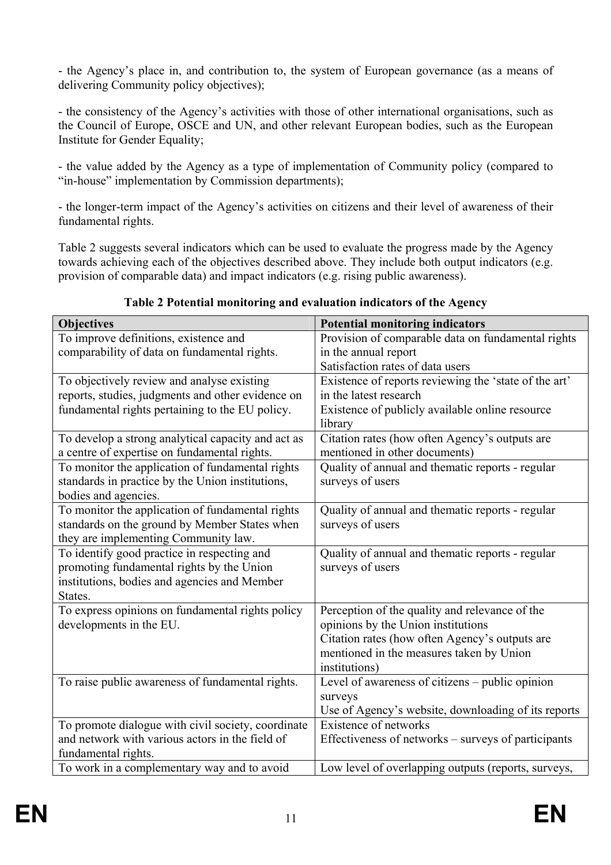- the Agency's place in, and contribution to, the system of European governance (as a means of delivering Community policy objectives);

- the consistency of the Agency's activities with those of other international organisations, such as the Council of Europe, OSCE and UN, and other relevant European bodies, such as the European Institute for Gender Equality;

- the value added by the Agency as a type of implementation of Community policy (compared to "in-house" implementation by Commission departments);

- the longer-term impact of the Agency's activities on citizens and their level of awareness of their fundamental rights.

Table 2 suggests several indicators which can be used to evaluate the progress made by the Agency towards achieving each of the objectives described above. They include both output indicators (e.g. provision of comparable data) and impact indicators (e.g. rising public awareness).

| Table 2 Potential monitoring and evaluation indicators of the Agency |                                                                                                                                                                                                                                                                                                                                    |
|----------------------------------------------------------------------|------------------------------------------------------------------------------------------------------------------------------------------------------------------------------------------------------------------------------------------------------------------------------------------------------------------------------------|
|                                                                      | $\mathbf{r}$ $\mathbf{r}$ $\mathbf{r}$ $\mathbf{r}$ $\mathbf{r}$ $\mathbf{r}$ $\mathbf{r}$ $\mathbf{r}$ $\mathbf{r}$ $\mathbf{r}$ $\mathbf{r}$ $\mathbf{r}$ $\mathbf{r}$ $\mathbf{r}$ $\mathbf{r}$ $\mathbf{r}$ $\mathbf{r}$ $\mathbf{r}$ $\mathbf{r}$ $\mathbf{r}$ $\mathbf{r}$ $\mathbf{r}$ $\mathbf{r}$ $\mathbf{r}$ $\mathbf{$ |

| <b>Objectives</b>                                           | <b>Potential monitoring indicators</b>                                                     |  |  |  |  |  |
|-------------------------------------------------------------|--------------------------------------------------------------------------------------------|--|--|--|--|--|
| To improve definitions, existence and                       | Provision of comparable data on fundamental rights                                         |  |  |  |  |  |
| comparability of data on fundamental rights.                | in the annual report                                                                       |  |  |  |  |  |
|                                                             | Satisfaction rates of data users                                                           |  |  |  |  |  |
| To objectively review and analyse existing                  | Existence of reports reviewing the 'state of the art'                                      |  |  |  |  |  |
| reports, studies, judgments and other evidence on           | in the latest research                                                                     |  |  |  |  |  |
| fundamental rights pertaining to the EU policy.             | Existence of publicly available online resource                                            |  |  |  |  |  |
|                                                             | library                                                                                    |  |  |  |  |  |
| To develop a strong analytical capacity and act as          | Citation rates (how often Agency's outputs are                                             |  |  |  |  |  |
| a centre of expertise on fundamental rights.                | mentioned in other documents)                                                              |  |  |  |  |  |
| To monitor the application of fundamental rights            | Quality of annual and thematic reports - regular                                           |  |  |  |  |  |
| standards in practice by the Union institutions,            | surveys of users                                                                           |  |  |  |  |  |
| bodies and agencies.                                        |                                                                                            |  |  |  |  |  |
| To monitor the application of fundamental rights            | Quality of annual and thematic reports - regular                                           |  |  |  |  |  |
| standards on the ground by Member States when               | surveys of users                                                                           |  |  |  |  |  |
| they are implementing Community law.                        |                                                                                            |  |  |  |  |  |
| To identify good practice in respecting and                 | Quality of annual and thematic reports - regular                                           |  |  |  |  |  |
| promoting fundamental rights by the Union                   | surveys of users                                                                           |  |  |  |  |  |
| institutions, bodies and agencies and Member                |                                                                                            |  |  |  |  |  |
| States.<br>To express opinions on fundamental rights policy |                                                                                            |  |  |  |  |  |
|                                                             | Perception of the quality and relevance of the                                             |  |  |  |  |  |
| developments in the EU.                                     | opinions by the Union institutions                                                         |  |  |  |  |  |
|                                                             | Citation rates (how often Agency's outputs are<br>mentioned in the measures taken by Union |  |  |  |  |  |
|                                                             | institutions)                                                                              |  |  |  |  |  |
| To raise public awareness of fundamental rights.            | Level of awareness of citizens - public opinion                                            |  |  |  |  |  |
|                                                             | surveys                                                                                    |  |  |  |  |  |
|                                                             | Use of Agency's website, downloading of its reports                                        |  |  |  |  |  |
| To promote dialogue with civil society, coordinate          | Existence of networks                                                                      |  |  |  |  |  |
| and network with various actors in the field of             | Effectiveness of networks – surveys of participants                                        |  |  |  |  |  |
| fundamental rights.                                         |                                                                                            |  |  |  |  |  |
| To work in a complementary way and to avoid                 | Low level of overlapping outputs (reports, surveys,                                        |  |  |  |  |  |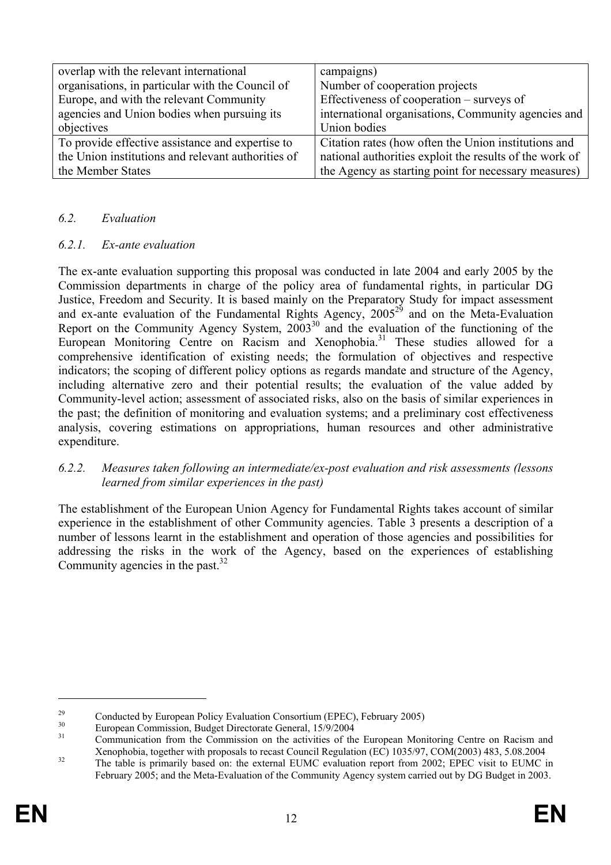| overlap with the relevant international            | campaigns)                                              |
|----------------------------------------------------|---------------------------------------------------------|
| organisations, in particular with the Council of   | Number of cooperation projects                          |
| Europe, and with the relevant Community            | Effectiveness of cooperation – surveys of               |
| agencies and Union bodies when pursuing its        | international organisations, Community agencies and     |
| objectives                                         | Union bodies                                            |
| To provide effective assistance and expertise to   | Citation rates (how often the Union institutions and    |
| the Union institutions and relevant authorities of | national authorities exploit the results of the work of |
| the Member States                                  | the Agency as starting point for necessary measures)    |

#### *6.2. Evaluation*

#### *6.2.1. Ex-ante evaluation*

The ex-ante evaluation supporting this proposal was conducted in late 2004 and early 2005 by the Commission departments in charge of the policy area of fundamental rights, in particular DG Justice, Freedom and Security. It is based mainly on the Preparatory Study for impact assessment and ex-ante evaluation of the Fundamental Rights Agency,  $2005^{29}$  and on the Meta-Evaluation Report on the Community Agency System,  $2003^{30}$  and the evaluation of the functioning of the European Monitoring Centre on Racism and Xenophobia.<sup>31</sup> These studies allowed for a comprehensive identification of existing needs; the formulation of objectives and respective indicators; the scoping of different policy options as regards mandate and structure of the Agency, including alternative zero and their potential results; the evaluation of the value added by Community-level action; assessment of associated risks, also on the basis of similar experiences in the past; the definition of monitoring and evaluation systems; and a preliminary cost effectiveness analysis, covering estimations on appropriations, human resources and other administrative expenditure.

#### *6.2.2. Measures taken following an intermediate/ex-post evaluation and risk assessments (lessons learned from similar experiences in the past)*

The establishment of the European Union Agency for Fundamental Rights takes account of similar experience in the establishment of other Community agencies. Table 3 presents a description of a number of lessons learnt in the establishment and operation of those agencies and possibilities for addressing the risks in the work of the Agency, based on the experiences of establishing Community agencies in the past.  $32^{\circ}$ 

 $\overline{a}$ 

 $^{29}$  Conducted by European Policy Evaluation Consortium (EPEC), February 2005)

<sup>&</sup>lt;sup>30</sup> European Commission, Budget Directorate General,  $15/9/2004$ <br><sup>31</sup> Communication from the Commission on the activities of the European Monitoring Centre on Racism and Xenophobia, together with proposals to recast Council Regulation (EC) 1035/97, COM(2003) 483, 5.08.2004<br>The table is primarily based on: the external EUMC evaluation report from 2002; EPEC visit to EUMC in

February 2005; and the Meta-Evaluation of the Community Agency system carried out by DG Budget in 2003.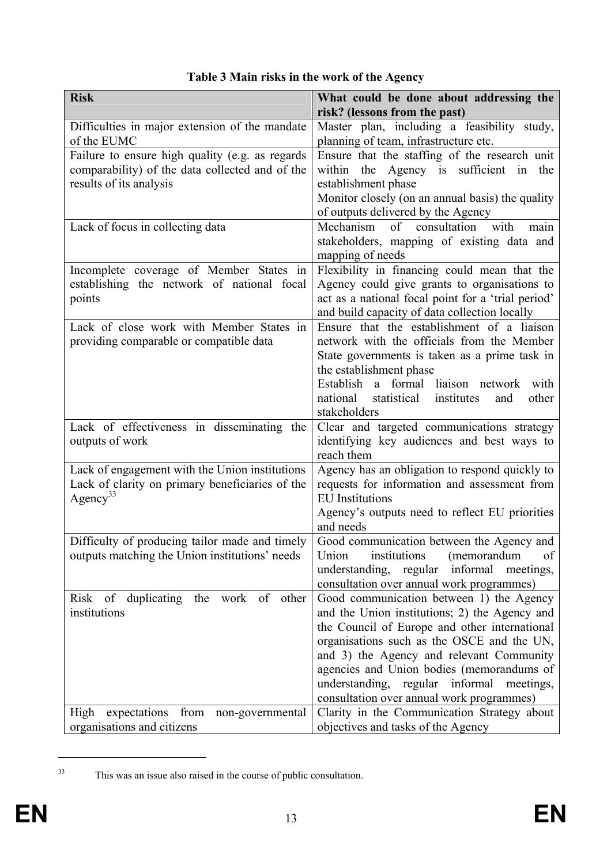| <b>Risk</b>                                                                                                                   | What could be done about addressing the                                                                                                                                                                                                                                                                                                                                     |
|-------------------------------------------------------------------------------------------------------------------------------|-----------------------------------------------------------------------------------------------------------------------------------------------------------------------------------------------------------------------------------------------------------------------------------------------------------------------------------------------------------------------------|
|                                                                                                                               | risk? (lessons from the past)                                                                                                                                                                                                                                                                                                                                               |
| Difficulties in major extension of the mandate<br>of the EUMC                                                                 | Master plan, including a feasibility study,<br>planning of team, infrastructure etc.                                                                                                                                                                                                                                                                                        |
| Failure to ensure high quality (e.g. as regards<br>comparability) of the data collected and of the<br>results of its analysis | Ensure that the staffing of the research unit<br>within the Agency is sufficient<br>in<br>the<br>establishment phase<br>Monitor closely (on an annual basis) the quality<br>of outputs delivered by the Agency                                                                                                                                                              |
| Lack of focus in collecting data                                                                                              | Mechanism of consultation<br>with<br>main<br>stakeholders, mapping of existing data and<br>mapping of needs                                                                                                                                                                                                                                                                 |
| Incomplete coverage of Member States in<br>establishing the network of national focal<br>points                               | Flexibility in financing could mean that the<br>Agency could give grants to organisations to<br>act as a national focal point for a 'trial period'<br>and build capacity of data collection locally                                                                                                                                                                         |
| Lack of close work with Member States in<br>providing comparable or compatible data                                           | Ensure that the establishment of a liaison<br>network with the officials from the Member<br>State governments is taken as a prime task in<br>the establishment phase<br>a formal liaison network<br>Establish<br>with<br>national<br>statistical<br>institutes<br>other<br>and<br>stakeholders                                                                              |
| Lack of effectiveness in disseminating the<br>outputs of work                                                                 | Clear and targeted communications strategy<br>identifying key audiences and best ways to<br>reach them                                                                                                                                                                                                                                                                      |
| Lack of engagement with the Union institutions<br>Lack of clarity on primary beneficiaries of the<br>Agency <sup>33</sup>     | Agency has an obligation to respond quickly to<br>requests for information and assessment from<br><b>EU</b> Institutions<br>Agency's outputs need to reflect EU priorities<br>and needs                                                                                                                                                                                     |
| Difficulty of producing tailor made and timely<br>outputs matching the Union institutions' needs                              | Good communication between the Agency and<br>institutions<br>Union<br>(memorandum<br>of<br>informal meetings,<br>understanding, regular<br>consultation over annual work programmes)                                                                                                                                                                                        |
| Risk of duplicating the work of other<br>institutions                                                                         | Good communication between 1) the Agency<br>and the Union institutions; 2) the Agency and<br>the Council of Europe and other international<br>organisations such as the OSCE and the UN,<br>and 3) the Agency and relevant Community<br>agencies and Union bodies (memorandums of<br>understanding, regular informal meetings,<br>consultation over annual work programmes) |
| expectations from non-governmental<br>High<br>organisations and citizens                                                      | Clarity in the Communication Strategy about<br>objectives and tasks of the Agency                                                                                                                                                                                                                                                                                           |

# **Table 3 Main risks in the work of the Agency**

 $\overline{a}$ 

<sup>33</sup> This was an issue also raised in the course of public consultation.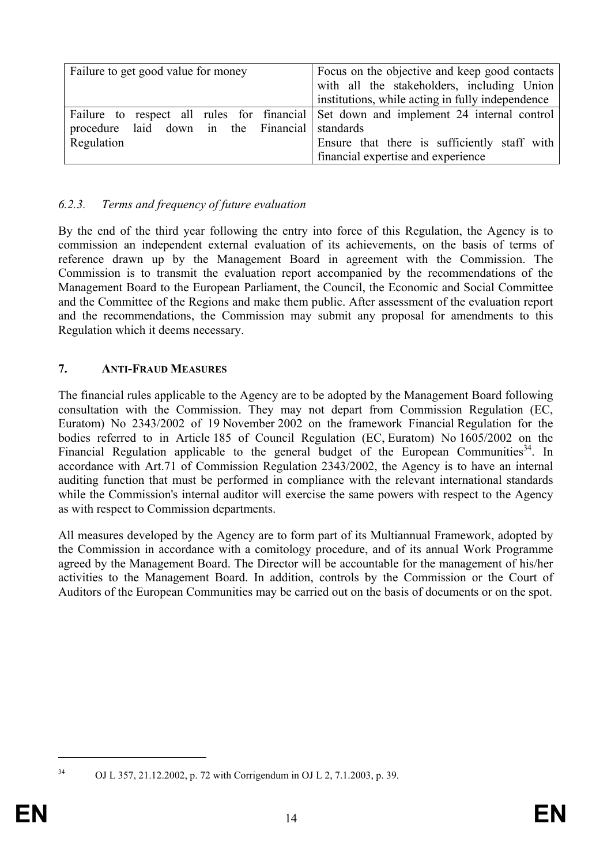| Failure to get good value for money            | Focus on the objective and keep good contacts<br>with all the stakeholders, including Union |
|------------------------------------------------|---------------------------------------------------------------------------------------------|
|                                                |                                                                                             |
|                                                | institutions, while acting in fully independence                                            |
|                                                | Failure to respect all rules for financial Set down and implement 24 internal control       |
| procedure laid down in the Financial standards |                                                                                             |
| Regulation                                     | Ensure that there is sufficiently staff with                                                |
|                                                | financial expertise and experience                                                          |

## *6.2.3. Terms and frequency of future evaluation*

By the end of the third year following the entry into force of this Regulation, the Agency is to commission an independent external evaluation of its achievements, on the basis of terms of reference drawn up by the Management Board in agreement with the Commission. The Commission is to transmit the evaluation report accompanied by the recommendations of the Management Board to the European Parliament, the Council, the Economic and Social Committee and the Committee of the Regions and make them public. After assessment of the evaluation report and the recommendations, the Commission may submit any proposal for amendments to this Regulation which it deems necessary.

## **7. ANTI-FRAUD MEASURES**

The financial rules applicable to the Agency are to be adopted by the Management Board following consultation with the Commission. They may not depart from Commission Regulation (EC, Euratom) No 2343/2002 of 19 November 2002 on the framework Financial Regulation for the bodies referred to in Article 185 of Council Regulation (EC, Euratom) No 1605/2002 on the Financial Regulation applicable to the general budget of the European Communities<sup>34</sup>. In accordance with Art.71 of Commission Regulation 2343/2002, the Agency is to have an internal auditing function that must be performed in compliance with the relevant international standards while the Commission's internal auditor will exercise the same powers with respect to the Agency as with respect to Commission departments.

All measures developed by the Agency are to form part of its Multiannual Framework, adopted by the Commission in accordance with a comitology procedure, and of its annual Work Programme agreed by the Management Board. The Director will be accountable for the management of his/her activities to the Management Board. In addition, controls by the Commission or the Court of Auditors of the European Communities may be carried out on the basis of documents or on the spot.

 $\overline{a}$ 

<sup>34</sup> OJ L 357, 21.12.2002, p. 72 with Corrigendum in OJ L 2, 7.1.2003, p. 39.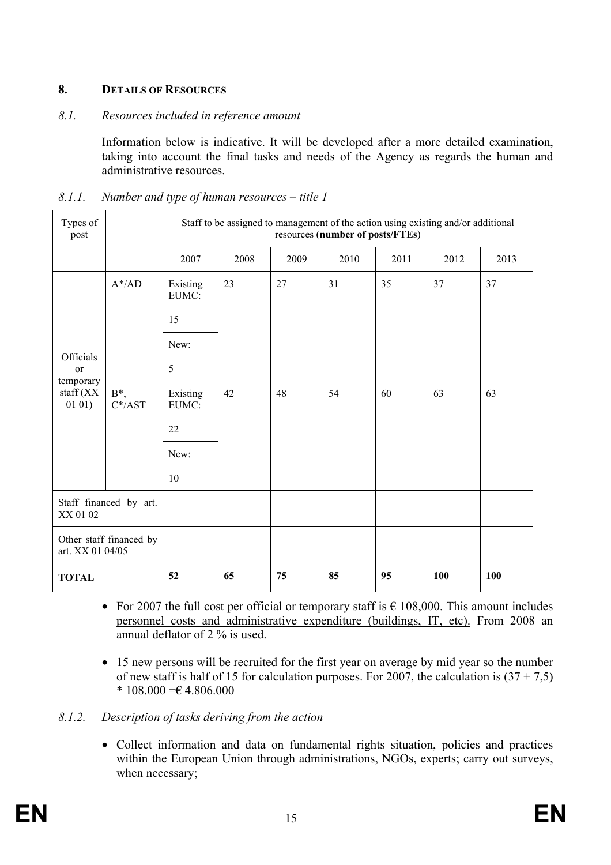# **8. DETAILS OF RESOURCES**

#### *8.1. Resources included in reference amount*

Information below is indicative. It will be developed after a more detailed examination, taking into account the final tasks and needs of the Agency as regards the human and administrative resources.

| Types of<br>post                                            |                        | Staff to be assigned to management of the action using existing and/or additional<br>resources (number of posts/FTEs) |      |      |      |      |            |      |
|-------------------------------------------------------------|------------------------|-----------------------------------------------------------------------------------------------------------------------|------|------|------|------|------------|------|
|                                                             |                        | 2007                                                                                                                  | 2008 | 2009 | 2010 | 2011 | 2012       | 2013 |
|                                                             | $A^*$ /AD              | Existing<br>EUMC:<br>15                                                                                               | 23   | 27   | 31   | 35   | 37         | 37   |
|                                                             |                        | New:                                                                                                                  |      |      |      |      |            |      |
| Officials<br>or<br>temporary<br>$\text{staff}(XX)$<br>0101) |                        | 5                                                                                                                     |      |      |      |      |            |      |
|                                                             | $B^*$ ,<br>$C^*/AST$   | Existing<br>EUMC:                                                                                                     | 42   | 48   | 54   | 60   | 63         | 63   |
|                                                             |                        | 22                                                                                                                    |      |      |      |      |            |      |
|                                                             |                        | New:                                                                                                                  |      |      |      |      |            |      |
|                                                             |                        | 10                                                                                                                    |      |      |      |      |            |      |
| XX 01 02                                                    | Staff financed by art. |                                                                                                                       |      |      |      |      |            |      |
| Other staff financed by<br>art. XX 01 04/05                 |                        |                                                                                                                       |      |      |      |      |            |      |
| <b>TOTAL</b>                                                |                        | 52                                                                                                                    | 65   | 75   | 85   | 95   | <b>100</b> | 100  |

#### *8.1.1. Number and type of human resources – title 1*

- For 2007 the full cost per official or temporary staff is  $\epsilon$  108,000. This amount includes personnel costs and administrative expenditure (buildings, IT, etc). From 2008 an annual deflator of 2 % is used.
- 15 new persons will be recruited for the first year on average by mid year so the number of new staff is half of 15 for calculation purposes. For 2007, the calculation is  $(37 + 7.5)$  $* 108.000 = 4.806.000$

## *8.1.2. Description of tasks deriving from the action*

• Collect information and data on fundamental rights situation, policies and practices within the European Union through administrations, NGOs, experts; carry out surveys, when necessary;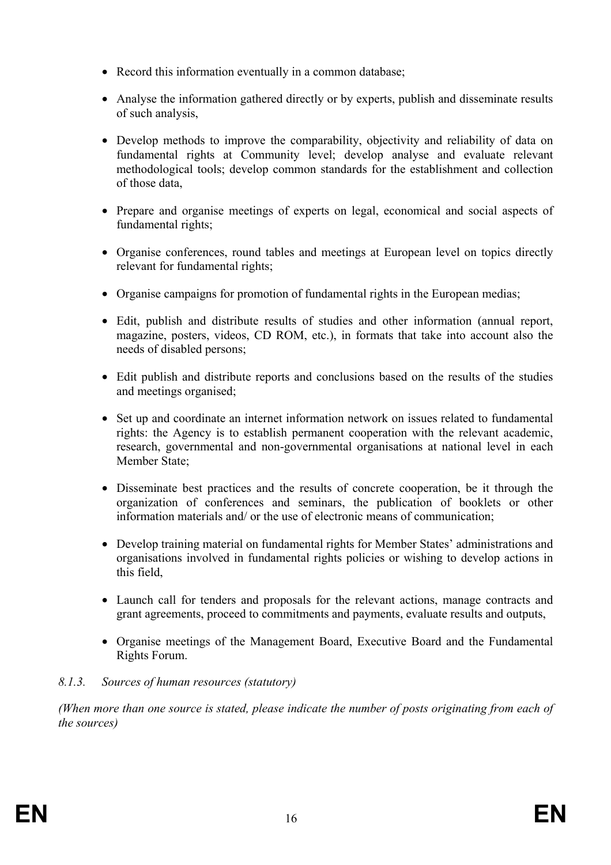- Record this information eventually in a common database;
- Analyse the information gathered directly or by experts, publish and disseminate results of such analysis,
- Develop methods to improve the comparability, objectivity and reliability of data on fundamental rights at Community level; develop analyse and evaluate relevant methodological tools; develop common standards for the establishment and collection of those data,
- Prepare and organise meetings of experts on legal, economical and social aspects of fundamental rights;
- Organise conferences, round tables and meetings at European level on topics directly relevant for fundamental rights;
- Organise campaigns for promotion of fundamental rights in the European medias;
- Edit, publish and distribute results of studies and other information (annual report, magazine, posters, videos, CD ROM, etc.), in formats that take into account also the needs of disabled persons;
- Edit publish and distribute reports and conclusions based on the results of the studies and meetings organised;
- Set up and coordinate an internet information network on issues related to fundamental rights: the Agency is to establish permanent cooperation with the relevant academic, research, governmental and non-governmental organisations at national level in each Member State;
- Disseminate best practices and the results of concrete cooperation, be it through the organization of conferences and seminars, the publication of booklets or other information materials and/ or the use of electronic means of communication;
- Develop training material on fundamental rights for Member States' administrations and organisations involved in fundamental rights policies or wishing to develop actions in this field,
- Launch call for tenders and proposals for the relevant actions, manage contracts and grant agreements, proceed to commitments and payments, evaluate results and outputs,
- Organise meetings of the Management Board, Executive Board and the Fundamental Rights Forum.

## *8.1.3. Sources of human resources (statutory)*

*(When more than one source is stated, please indicate the number of posts originating from each of the sources)*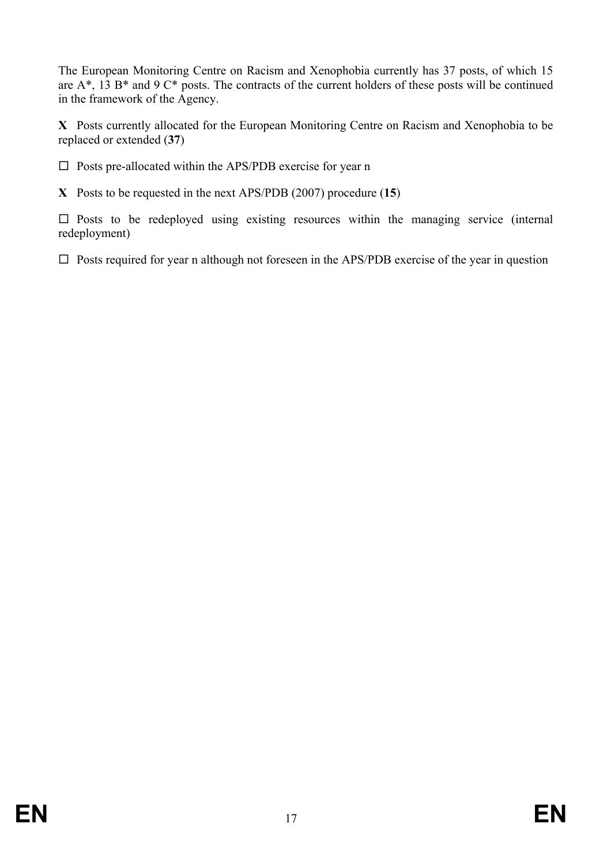The European Monitoring Centre on Racism and Xenophobia currently has 37 posts, of which 15 are  $A^*$ , 13  $B^*$  and 9  $C^*$  posts. The contracts of the current holders of these posts will be continued in the framework of the Agency.

**X** Posts currently allocated for the European Monitoring Centre on Racism and Xenophobia to be replaced or extended (**37**)

 $\square$  Posts pre-allocated within the APS/PDB exercise for year n

**X** Posts to be requested in the next APS/PDB (2007) procedure (**15**)

 $\square$  Posts to be redeployed using existing resources within the managing service (internal redeployment)

 $\square$  Posts required for year n although not foreseen in the APS/PDB exercise of the year in question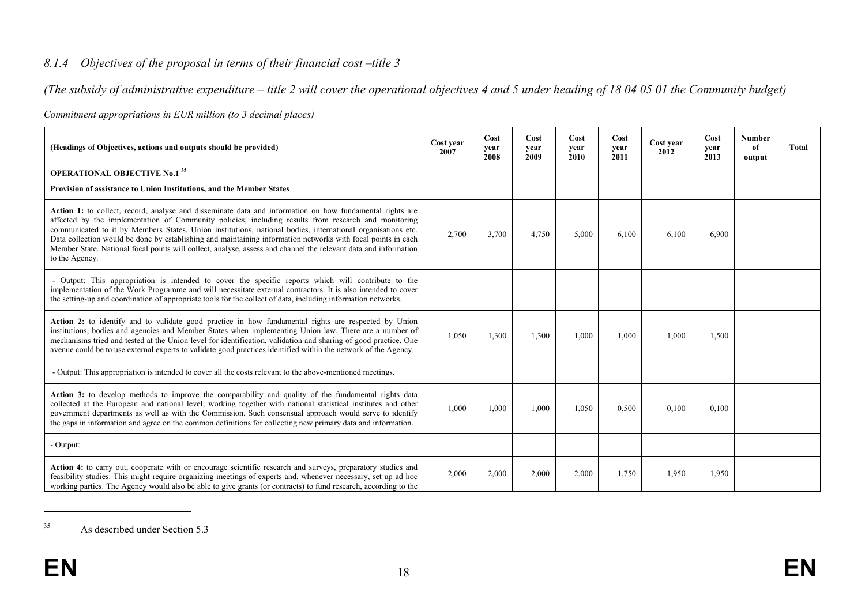## *8.1.4 Objectives of the proposal in terms of their financial cost –title 3*

*(The subsidy of administrative expenditure – title 2 will cover the operational objectives 4 and 5 under heading of 18 04 05 01 the Community budget)* 

| (Headings of Objectives, actions and outputs should be provided)                                                                                                                                                                                                                                                                                                                                                                                                                                                                                                                     |       | Cost<br>vear<br>2008 | Cost<br>vear<br>2009 | Cost<br>vear<br>2010 | Cost<br>year<br>2011 | Cost year<br>2012 | Cost<br>year<br>2013 | <b>Number</b><br>of<br>output | <b>Total</b> |
|--------------------------------------------------------------------------------------------------------------------------------------------------------------------------------------------------------------------------------------------------------------------------------------------------------------------------------------------------------------------------------------------------------------------------------------------------------------------------------------------------------------------------------------------------------------------------------------|-------|----------------------|----------------------|----------------------|----------------------|-------------------|----------------------|-------------------------------|--------------|
| <b>OPERATIONAL OBJECTIVE No.1<sup>35</sup></b>                                                                                                                                                                                                                                                                                                                                                                                                                                                                                                                                       |       |                      |                      |                      |                      |                   |                      |                               |              |
| Provision of assistance to Union Institutions, and the Member States                                                                                                                                                                                                                                                                                                                                                                                                                                                                                                                 |       |                      |                      |                      |                      |                   |                      |                               |              |
| Action 1: to collect, record, analyse and disseminate data and information on how fundamental rights are<br>affected by the implementation of Community policies, including results from research and monitoring<br>communicated to it by Members States, Union institutions, national bodies, international organisations etc.<br>Data collection would be done by establishing and maintaining information networks with focal points in each<br>Member State. National focal points will collect, analyse, assess and channel the relevant data and information<br>to the Agency. | 2,700 | 3,700                | 4,750                | 5,000                | 6,100                | 6.100             | 6,900                |                               |              |
| - Output: This appropriation is intended to cover the specific reports which will contribute to the<br>implementation of the Work Programme and will necessitate external contractors. It is also intended to cover<br>the setting-up and coordination of appropriate tools for the collect of data, including information networks.                                                                                                                                                                                                                                                 |       |                      |                      |                      |                      |                   |                      |                               |              |
| Action 2: to identify and to validate good practice in how fundamental rights are respected by Union<br>institutions, bodies and agencies and Member States when implementing Union law. There are a number of<br>mechanisms tried and tested at the Union level for identification, validation and sharing of good practice. One<br>avenue could be to use external experts to validate good practices identified within the network of the Agency.                                                                                                                                 | 1,050 | 1,300                | 1,300                | 1,000                | 1,000                | 1,000             | 1,500                |                               |              |
| - Output: This appropriation is intended to cover all the costs relevant to the above-mentioned meetings.                                                                                                                                                                                                                                                                                                                                                                                                                                                                            |       |                      |                      |                      |                      |                   |                      |                               |              |
| Action 3: to develop methods to improve the comparability and quality of the fundamental rights data<br>collected at the European and national level, working together with national statistical institutes and other<br>government departments as well as with the Commission. Such consensual approach would serve to identify<br>the gaps in information and agree on the common definitions for collecting new primary data and information.                                                                                                                                     | 1,000 | 1,000                | 1,000                | 1,050                | 0,500                | 0,100             | 0,100                |                               |              |
| - Output:                                                                                                                                                                                                                                                                                                                                                                                                                                                                                                                                                                            |       |                      |                      |                      |                      |                   |                      |                               |              |
| Action 4: to carry out, cooperate with or encourage scientific research and surveys, preparatory studies and<br>feasibility studies. This might require organizing meetings of experts and, whenever necessary, set up ad hoc<br>working parties. The Agency would also be able to give grants (or contracts) to fund research, according to the                                                                                                                                                                                                                                     | 2,000 | 2,000                | 2,000                | 2,000                | 1,750                | 1,950             | 1,950                |                               |              |

*Commitment appropriations in EUR million (to 3 decimal places)* 

<sup>35</sup> As described under Section 5.3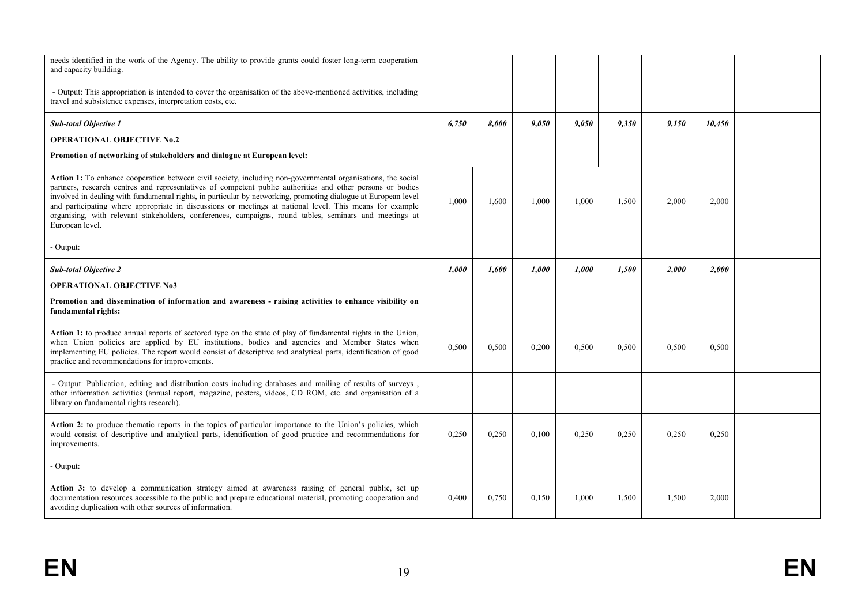| needs identified in the work of the Agency. The ability to provide grants could foster long-term cooperation<br>and capacity building.                                                                                                                                                                                                                                                                                                                                                                                                                                                |       |       |       |       |       |       |        |  |
|---------------------------------------------------------------------------------------------------------------------------------------------------------------------------------------------------------------------------------------------------------------------------------------------------------------------------------------------------------------------------------------------------------------------------------------------------------------------------------------------------------------------------------------------------------------------------------------|-------|-------|-------|-------|-------|-------|--------|--|
| - Output: This appropriation is intended to cover the organisation of the above-mentioned activities, including<br>travel and subsistence expenses, interpretation costs, etc.                                                                                                                                                                                                                                                                                                                                                                                                        |       |       |       |       |       |       |        |  |
| <b>Sub-total Objective 1</b>                                                                                                                                                                                                                                                                                                                                                                                                                                                                                                                                                          | 6,750 | 8.000 | 9.050 | 9.050 | 9.350 | 9.150 | 10.450 |  |
| <b>OPERATIONAL OBJECTIVE No.2</b>                                                                                                                                                                                                                                                                                                                                                                                                                                                                                                                                                     |       |       |       |       |       |       |        |  |
| Promotion of networking of stakeholders and dialogue at European level:                                                                                                                                                                                                                                                                                                                                                                                                                                                                                                               |       |       |       |       |       |       |        |  |
| Action 1: To enhance cooperation between civil society, including non-governmental organisations, the social<br>partners, research centres and representatives of competent public authorities and other persons or bodies<br>involved in dealing with fundamental rights, in particular by networking, promoting dialogue at European level<br>and participating where appropriate in discussions or meetings at national level. This means for example<br>organising, with relevant stakeholders, conferences, campaigns, round tables, seminars and meetings at<br>European level. | 1.000 | 1.600 | 1.000 | 1.000 | 1,500 | 2.000 | 2,000  |  |
| - Output:                                                                                                                                                                                                                                                                                                                                                                                                                                                                                                                                                                             |       |       |       |       |       |       |        |  |
| <b>Sub-total Objective 2</b>                                                                                                                                                                                                                                                                                                                                                                                                                                                                                                                                                          | 1.000 | 1.600 | 1.000 | 1.000 | 1.500 | 2.000 | 2.000  |  |
| <b>OPERATIONAL OBJECTIVE No3</b>                                                                                                                                                                                                                                                                                                                                                                                                                                                                                                                                                      |       |       |       |       |       |       |        |  |
| Promotion and dissemination of information and awareness - raising activities to enhance visibility on<br>fundamental rights:                                                                                                                                                                                                                                                                                                                                                                                                                                                         |       |       |       |       |       |       |        |  |
| Action 1: to produce annual reports of sectored type on the state of play of fundamental rights in the Union,<br>when Union policies are applied by EU institutions, bodies and agencies and Member States when<br>implementing EU policies. The report would consist of descriptive and analytical parts, identification of good<br>practice and recommendations for improvements.                                                                                                                                                                                                   | 0.500 | 0.500 | 0,200 | 0,500 | 0.500 | 0.500 | 0.500  |  |
| - Output: Publication, editing and distribution costs including databases and mailing of results of surveys,<br>other information activities (annual report, magazine, posters, videos, CD ROM, etc. and organisation of a<br>library on fundamental rights research).                                                                                                                                                                                                                                                                                                                |       |       |       |       |       |       |        |  |
| Action 2: to produce thematic reports in the topics of particular importance to the Union's policies, which<br>would consist of descriptive and analytical parts, identification of good practice and recommendations for<br>improvements.                                                                                                                                                                                                                                                                                                                                            | 0,250 | 0.250 | 0.100 | 0,250 | 0.250 | 0.250 | 0.250  |  |
| - Output:                                                                                                                                                                                                                                                                                                                                                                                                                                                                                                                                                                             |       |       |       |       |       |       |        |  |
| Action 3: to develop a communication strategy aimed at awareness raising of general public, set up<br>documentation resources accessible to the public and prepare educational material, promoting cooperation and<br>avoiding duplication with other sources of information.                                                                                                                                                                                                                                                                                                         | 0,400 | 0,750 | 0,150 | 1,000 | 1,500 | 1,500 | 2,000  |  |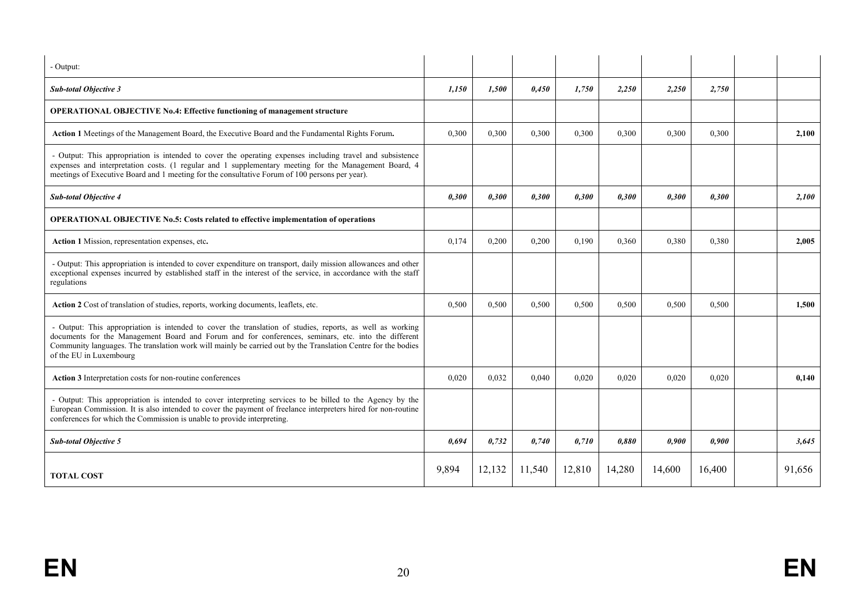| - Output:                                                                                                                                                                                                                                                                                                                                                    |       |        |        |        |        |        |        |        |
|--------------------------------------------------------------------------------------------------------------------------------------------------------------------------------------------------------------------------------------------------------------------------------------------------------------------------------------------------------------|-------|--------|--------|--------|--------|--------|--------|--------|
| <b>Sub-total Objective 3</b>                                                                                                                                                                                                                                                                                                                                 | 1,150 | 1,500  | 0,450  | 1.750  | 2,250  | 2,250  | 2,750  |        |
| <b>OPERATIONAL OBJECTIVE No.4: Effective functioning of management structure</b>                                                                                                                                                                                                                                                                             |       |        |        |        |        |        |        |        |
| Action 1 Meetings of the Management Board, the Executive Board and the Fundamental Rights Forum.                                                                                                                                                                                                                                                             | 0,300 | 0,300  | 0,300  | 0,300  | 0,300  | 0,300  | 0,300  | 2.100  |
| - Output: This appropriation is intended to cover the operating expenses including travel and subsistence<br>expenses and interpretation costs. (1 regular and 1 supplementary meeting for the Management Board, 4<br>meetings of Executive Board and 1 meeting for the consultative Forum of 100 persons per year).                                         |       |        |        |        |        |        |        |        |
| <b>Sub-total Objective 4</b>                                                                                                                                                                                                                                                                                                                                 | 0,300 | 0,300  | 0.300  | 0,300  | 0,300  | 0,300  | 0,300  | 2,100  |
| <b>OPERATIONAL OBJECTIVE No.5: Costs related to effective implementation of operations</b>                                                                                                                                                                                                                                                                   |       |        |        |        |        |        |        |        |
| Action 1 Mission, representation expenses, etc.                                                                                                                                                                                                                                                                                                              | 0,174 | 0.200  | 0.200  | 0.190  | 0,360  | 0,380  | 0,380  | 2.005  |
| - Output: This appropriation is intended to cover expenditure on transport, daily mission allowances and other<br>exceptional expenses incurred by established staff in the interest of the service, in accordance with the staff<br>regulations                                                                                                             |       |        |        |        |        |        |        |        |
| Action 2 Cost of translation of studies, reports, working documents, leaflets, etc.                                                                                                                                                                                                                                                                          | 0,500 | 0,500  | 0,500  | 0,500  | 0,500  | 0,500  | 0,500  | 1,500  |
| - Output: This appropriation is intended to cover the translation of studies, reports, as well as working<br>documents for the Management Board and Forum and for conferences, seminars, etc. into the different<br>Community languages. The translation work will mainly be carried out by the Translation Centre for the bodies<br>of the EU in Luxembourg |       |        |        |        |        |        |        |        |
| Action 3 Interpretation costs for non-routine conferences                                                                                                                                                                                                                                                                                                    | 0.020 | 0.032  | 0.040  | 0.020  | 0.020  | 0.020  | 0.020  | 0.140  |
| - Output: This appropriation is intended to cover interpreting services to be billed to the Agency by the<br>European Commission. It is also intended to cover the payment of freelance interpreters hired for non-routine<br>conferences for which the Commission is unable to provide interpreting.                                                        |       |        |        |        |        |        |        |        |
| <b>Sub-total Objective 5</b>                                                                                                                                                                                                                                                                                                                                 | 0,694 | 0,732  | 0,740  | 0,710  | 0,880  | 0,900  | 0,900  | 3,645  |
| <b>TOTAL COST</b>                                                                                                                                                                                                                                                                                                                                            | 9,894 | 12,132 | 11,540 | 12,810 | 14,280 | 14,600 | 16,400 | 91,656 |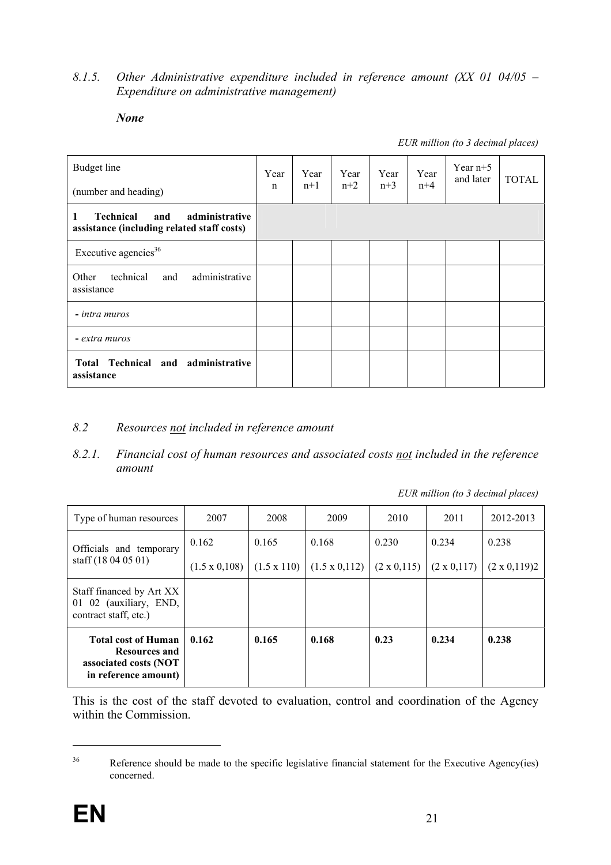#### *8.1.5. Other Administrative expenditure included in reference amount (XX 01 04/05 – Expenditure on administrative management)*

#### *None*

*EUR million (to 3 decimal places)* 

| Budget line<br>(number and heading)                                                          | Year<br>n | Year<br>$n+1$ | Year<br>$n+2$ | Year<br>$n+3$ | Year<br>$n+4$ | Year $n+5$<br>and later | <b>TOTAL</b> |
|----------------------------------------------------------------------------------------------|-----------|---------------|---------------|---------------|---------------|-------------------------|--------------|
| administrative<br><b>Technical</b><br>and<br>1<br>assistance (including related staff costs) |           |               |               |               |               |                         |              |
| Executive agencies <sup>36</sup>                                                             |           |               |               |               |               |                         |              |
| administrative<br>technical<br>Other<br>and<br>assistance                                    |           |               |               |               |               |                         |              |
| - intra muros                                                                                |           |               |               |               |               |                         |              |
| - extra muros                                                                                |           |               |               |               |               |                         |              |
| Total Technical and administrative<br>assistance                                             |           |               |               |               |               |                         |              |

#### *8.2 Resources not included in reference amount*

*8.2.1. Financial cost of human resources and associated costs not included in the reference amount* 

| EUR million (to 3 decimal places) |  |  |
|-----------------------------------|--|--|
|                                   |  |  |

| Type of human resources                                                                      | 2007                 | 2008               | 2009                 | 2010               | 2011               | 2012-2013           |  |
|----------------------------------------------------------------------------------------------|----------------------|--------------------|----------------------|--------------------|--------------------|---------------------|--|
| Officials and temporary                                                                      | 0.162                | 0.165              | 0.168                | 0.230              | 0.234              | 0.238               |  |
| staff $(18040501)$                                                                           | $(1.5 \times 0.108)$ | $(1.5 \times 110)$ | $(1.5 \times 0.112)$ | $(2 \times 0.115)$ | $(2 \times 0.117)$ | $(2 \times 0.119)2$ |  |
| Staff financed by Art XX<br>01 02 (auxiliary, END,<br>contract staff, etc.)                  |                      |                    |                      |                    |                    |                     |  |
| <b>Total cost of Human</b><br>Resources and<br>associated costs (NOT<br>in reference amount) | 0.162                | 0.165              | 0.168                | 0.23               | 0.234              | 0.238               |  |

This is the cost of the staff devoted to evaluation, control and coordination of the Agency within the Commission.

1

<sup>&</sup>lt;sup>36</sup> Reference should be made to the specific legislative financial statement for the Executive Agency(ies) concerned.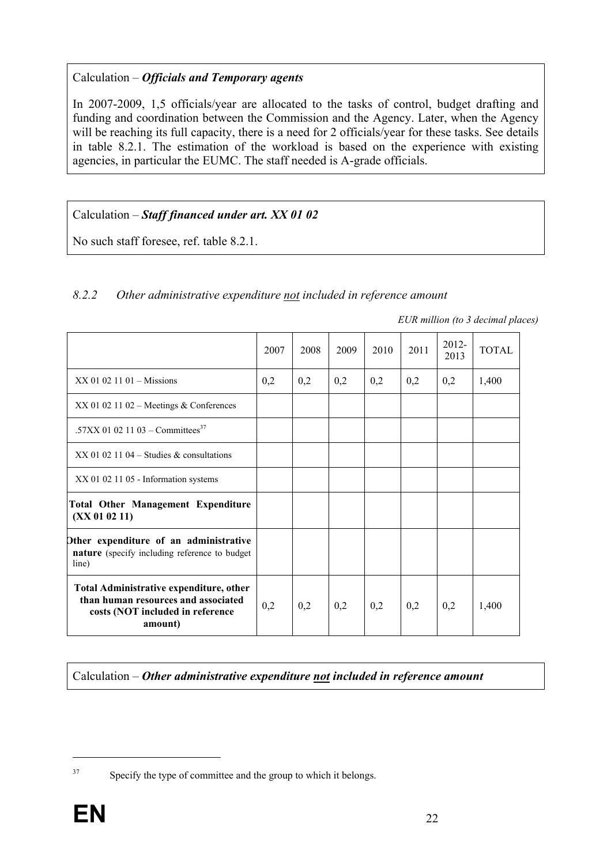# Calculation – *Officials and Temporary agents*

In 2007-2009, 1,5 officials/year are allocated to the tasks of control, budget drafting and funding and coordination between the Commission and the Agency. Later, when the Agency will be reaching its full capacity, there is a need for 2 officials/year for these tasks. See details in table 8.2.1. The estimation of the workload is based on the experience with existing agencies, in particular the EUMC. The staff needed is A-grade officials.

# Calculation – *Staff financed under art. XX 01 02*

No such staff foresee, ref. table 8.2.1.

## *8.2.2 Other administrative expenditure not included in reference amount*

*EUR million (to 3 decimal places)* 

|                                                                                                                                      | 2007 | 2008 | 2009 | 2010 | 2011 | 2012-<br>2013 | <b>TOTAL</b> |
|--------------------------------------------------------------------------------------------------------------------------------------|------|------|------|------|------|---------------|--------------|
| $XX$ 01 02 11 01 – Missions                                                                                                          | 0,2  | 0,2  | 0,2  | 0,2  | 0,2  | 0,2           | 1,400        |
| $XX$ 01 02 11 02 – Meetings & Conferences                                                                                            |      |      |      |      |      |               |              |
| .57XX 01 02 11 03 – Committees <sup>37</sup>                                                                                         |      |      |      |      |      |               |              |
| $XX$ 01 02 11 04 – Studies & consultations                                                                                           |      |      |      |      |      |               |              |
| XX 01 02 11 05 - Information systems                                                                                                 |      |      |      |      |      |               |              |
| <b>Total Other Management Expenditure</b><br>(XX 01 02 11)                                                                           |      |      |      |      |      |               |              |
| Other expenditure of an administrative<br><b>nature</b> (specify including reference to budget)<br>line)                             |      |      |      |      |      |               |              |
| <b>Total Administrative expenditure, other</b><br>than human resources and associated<br>costs (NOT included in reference<br>amount) | 0,2  | 0,2  | 0,2  | 0,2  | 0,2  | 0,2           | 1,400        |

Calculation – *Other administrative expenditure not included in reference amount* 

1

<sup>&</sup>lt;sup>37</sup> Specify the type of committee and the group to which it belongs.